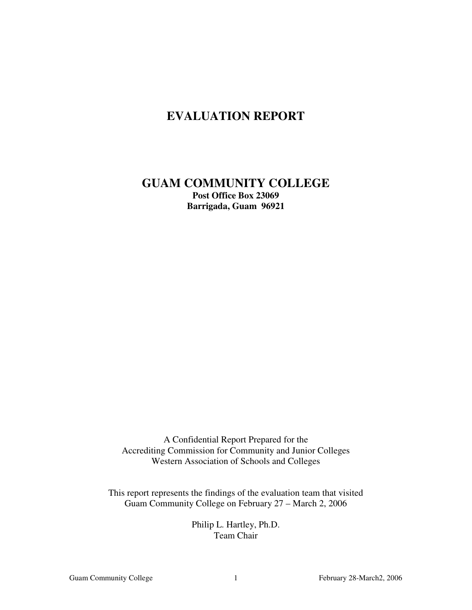# **EVALUATION REPORT**

# **GUAM COMMUNITY COLLEGE Post Office Box 23069 Barrigada, Guam 96921**

A Confidential Report Prepared for the Accrediting Commission for Community and Junior Colleges Western Association of Schools and Colleges

This report represents the findings of the evaluation team that visited Guam Community College on February 27 – March 2, 2006

> Philip L. Hartley, Ph.D. Team Chair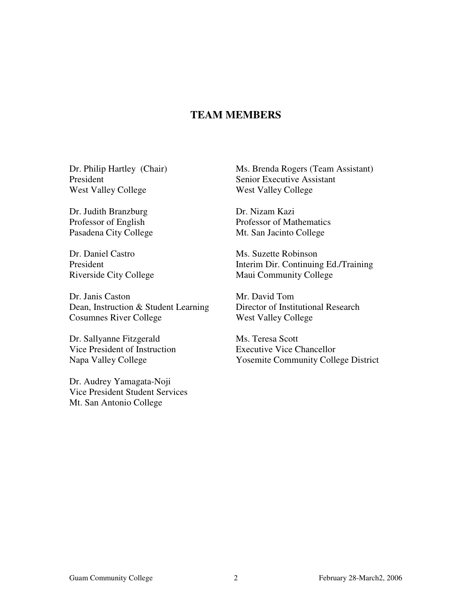# **TEAM MEMBERS**

West Valley College West Valley College

Dr. Judith Branzburg Dr. Nizam Kazi

Dr. Janis Caston Mr. David Tom Dean, Instruction & Student Learning Director of Institutional Research Cosumnes River College West Valley College

Dr. Sallyanne Fitzgerald Ms. Teresa Scott<br>
Vice President of Instruction<br>
Executive Vice Chancellor Vice President of Instruction

Dr. Audrey Yamagata-Noji Vice President Student Services Mt. San Antonio College

Dr. Philip Hartley (Chair) Ms. Brenda Rogers (Team Assistant) President Senior Executive Assistant

Professor of Mathematics Pasadena City College Mt. San Jacinto College

Dr. Daniel Castro Ms. Suzette Robinson President Interim Dir. Continuing Ed./Training Riverside City College Maui Community College

Napa Valley College Yosemite Community College District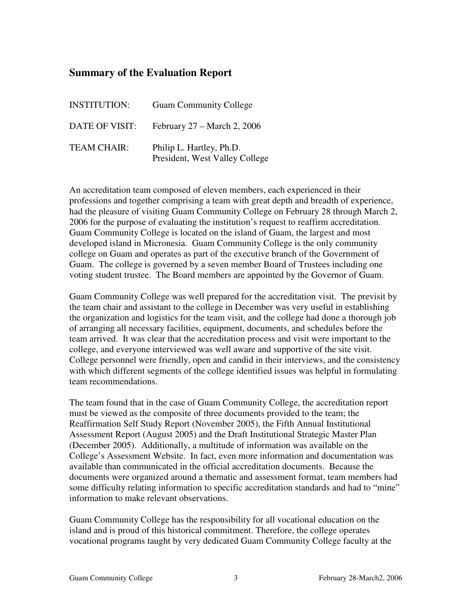# **Summary of the Evaluation Report**

| <b>INSTITUTION:</b> | <b>Guam Community College</b>                              |
|---------------------|------------------------------------------------------------|
| DATE OF VISIT:      | February 27 – March 2, 2006                                |
| <b>TEAM CHAIR:</b>  | Philip L. Hartley, Ph.D.<br>President, West Valley College |

An accreditation team composed of eleven members, each experienced in their professions and together comprising a team with great depth and breadth of experience, had the pleasure of visiting Guam Community College on February 28 through March 2, 2006 for the purpose of evaluating the institution's request to reaffirm accreditation. Guam Community College is located on the island of Guam, the largest and most developed island in Micronesia. Guam Community College is the only community college on Guam and operates as part of the executive branch of the Government of Guam. The college is governed by a seven member Board of Trustees including one voting student trustee. The Board members are appointed by the Governor of Guam.

Guam Community College was well prepared for the accreditation visit. The previsit by the team chair and assistant to the college in December was very useful in establishing the organization and logistics for the team visit, and the college had done a thorough job of arranging all necessary facilities, equipment, documents, and schedules before the team arrived. It was clear that the accreditation process and visit were important to the college, and everyone interviewed was well aware and supportive of the site visit. College personnel were friendly, open and candid in their interviews, and the consistency with which different segments of the college identified issues was helpful in formulating team recommendations.

The team found that in the case of Guam Community College, the accreditation report must be viewed as the composite of three documents provided to the team; the Reaffirmation Self Study Report (November 2005), the Fifth Annual Institutional Assessment Report (August 2005) and the Draft Institutional Strategic Master Plan (December 2005). Additionally, a multitude of information was available on the College's Assessment Website. In fact, even more information and documentation was available than communicated in the official accreditation documents. Because the documents were organized around a thematic and assessment format, team members had some difficulty relating information to specific accreditation standards and had to "mine" information to make relevant observations.

Guam Community College has the responsibility for all vocational education on the island and is proud of this historical commitment. Therefore, the college operates vocational programs taught by very dedicated Guam Community College faculty at the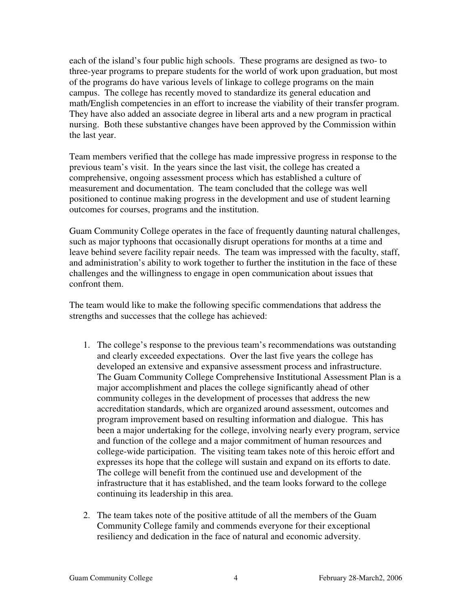each of the island's four public high schools. These programs are designed as two- to three-year programs to prepare students for the world of work upon graduation, but most of the programs do have various levels of linkage to college programs on the main campus. The college has recently moved to standardize its general education and math/English competencies in an effort to increase the viability of their transfer program. They have also added an associate degree in liberal arts and a new program in practical nursing. Both these substantive changes have been approved by the Commission within the last year.

Team members verified that the college has made impressive progress in response to the previous team's visit. In the years since the last visit, the college has created a comprehensive, ongoing assessment process which has established a culture of measurement and documentation. The team concluded that the college was well positioned to continue making progress in the development and use of student learning outcomes for courses, programs and the institution.

Guam Community College operates in the face of frequently daunting natural challenges, such as major typhoons that occasionally disrupt operations for months at a time and leave behind severe facility repair needs. The team was impressed with the faculty, staff, and administration's ability to work together to further the institution in the face of these challenges and the willingness to engage in open communication about issues that confront them.

The team would like to make the following specific commendations that address the strengths and successes that the college has achieved:

- 1. The college's response to the previous team's recommendations was outstanding and clearly exceeded expectations. Over the last five years the college has developed an extensive and expansive assessment process and infrastructure. The Guam Community College Comprehensive Institutional Assessment Plan is a major accomplishment and places the college significantly ahead of other community colleges in the development of processes that address the new accreditation standards, which are organized around assessment, outcomes and program improvement based on resulting information and dialogue. This has been a major undertaking for the college, involving nearly every program, service and function of the college and a major commitment of human resources and college-wide participation. The visiting team takes note of this heroic effort and expresses its hope that the college will sustain and expand on its efforts to date. The college will benefit from the continued use and development of the infrastructure that it has established, and the team looks forward to the college continuing its leadership in this area.
- 2. The team takes note of the positive attitude of all the members of the Guam Community College family and commends everyone for their exceptional resiliency and dedication in the face of natural and economic adversity.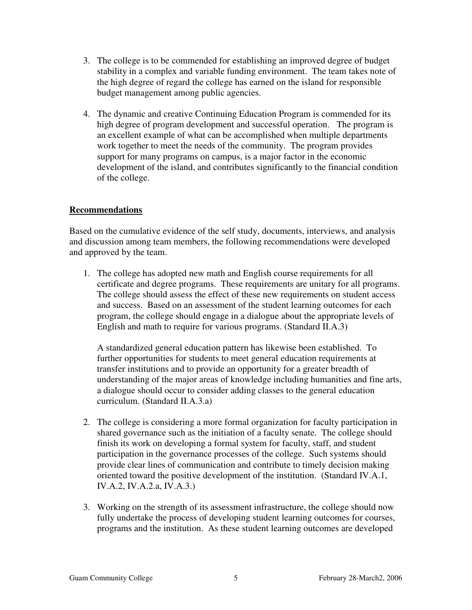- 3. The college is to be commended for establishing an improved degree of budget stability in a complex and variable funding environment. The team takes note of the high degree of regard the college has earned on the island for responsible budget management among public agencies.
- 4. The dynamic and creative Continuing Education Program is commended for its high degree of program development and successful operation. The program is an excellent example of what can be accomplished when multiple departments work together to meet the needs of the community. The program provides support for many programs on campus, is a major factor in the economic development of the island, and contributes significantly to the financial condition of the college.

## **Recommendations**

Based on the cumulative evidence of the self study, documents, interviews, and analysis and discussion among team members, the following recommendations were developed and approved by the team.

1. The college has adopted new math and English course requirements for all certificate and degree programs. These requirements are unitary for all programs. The college should assess the effect of these new requirements on student access and success. Based on an assessment of the student learning outcomes for each program, the college should engage in a dialogue about the appropriate levels of English and math to require for various programs. (Standard II.A.3)

A standardized general education pattern has likewise been established. To further opportunities for students to meet general education requirements at transfer institutions and to provide an opportunity for a greater breadth of understanding of the major areas of knowledge including humanities and fine arts, a dialogue should occur to consider adding classes to the general education curriculum. (Standard II.A.3.a)

- 2. The college is considering a more formal organization for faculty participation in shared governance such as the initiation of a faculty senate. The college should finish its work on developing a formal system for faculty, staff, and student participation in the governance processes of the college. Such systems should provide clear lines of communication and contribute to timely decision making oriented toward the positive development of the institution. (Standard IV.A.1, IV.A.2, IV.A.2.a, IV.A.3.)
- 3. Working on the strength of its assessment infrastructure, the college should now fully undertake the process of developing student learning outcomes for courses, programs and the institution. As these student learning outcomes are developed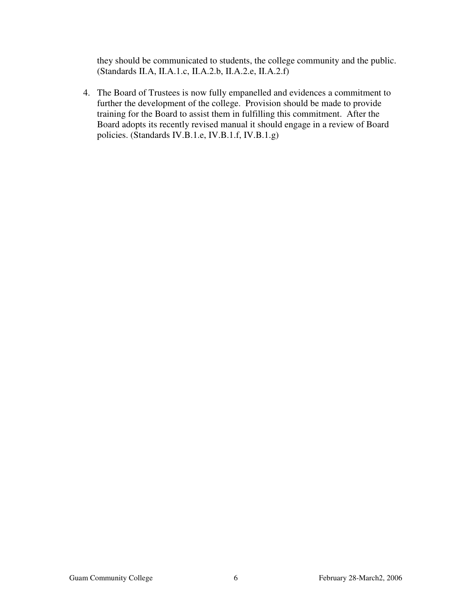they should be communicated to students, the college community and the public. (Standards II.A, II.A.1.c, II.A.2.b, II.A.2.e, II.A.2.f)

4. The Board of Trustees is now fully empanelled and evidences a commitment to further the development of the college. Provision should be made to provide training for the Board to assist them in fulfilling this commitment. After the Board adopts its recently revised manual it should engage in a review of Board policies. (Standards IV.B.1.e, IV.B.1.f, IV.B.1.g)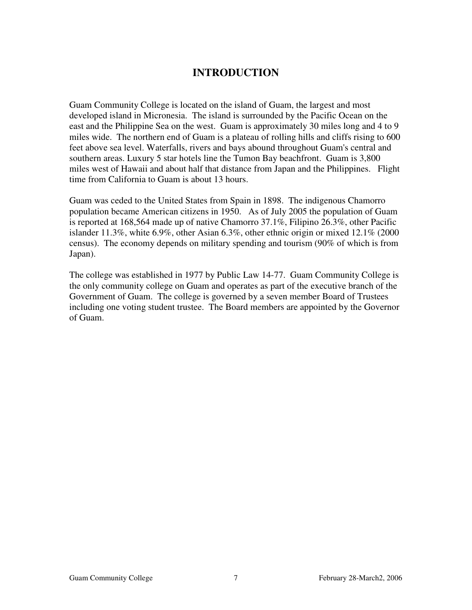# **INTRODUCTION**

Guam Community College is located on the island of Guam, the largest and most developed island in Micronesia. The island is surrounded by the Pacific Ocean on the east and the Philippine Sea on the west. Guam is approximately 30 miles long and 4 to 9 miles wide. The northern end of Guam is a plateau of rolling hills and cliffs rising to 600 feet above sea level. Waterfalls, rivers and bays abound throughout Guam's central and southern areas. Luxury 5 star hotels line the Tumon Bay beachfront. Guam is 3,800 miles west of Hawaii and about half that distance from Japan and the Philippines. Flight time from California to Guam is about 13 hours.

Guam was ceded to the United States from Spain in 1898. The indigenous Chamorro population became American citizens in 1950. As of July 2005 the population of Guam is reported at 168,564 made up of native Chamorro 37.1%, Filipino 26.3%, other Pacific islander 11.3%, white 6.9%, other Asian 6.3%, other ethnic origin or mixed 12.1% (2000 census). The economy depends on military spending and tourism (90% of which is from Japan).

The college was established in 1977 by Public Law 14-77. Guam Community College is the only community college on Guam and operates as part of the executive branch of the Government of Guam. The college is governed by a seven member Board of Trustees including one voting student trustee. The Board members are appointed by the Governor of Guam.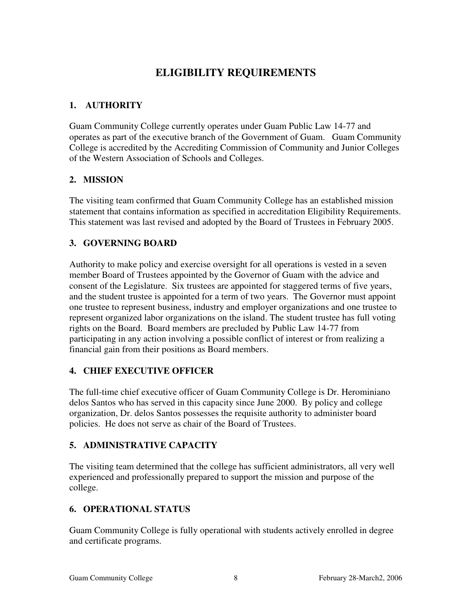# **ELIGIBILITY REQUIREMENTS**

# **1. AUTHORITY**

Guam Community College currently operates under Guam Public Law 14-77 and operates as part of the executive branch of the Government of Guam. Guam Community College is accredited by the Accrediting Commission of Community and Junior Colleges of the Western Association of Schools and Colleges.

# **2. MISSION**

The visiting team confirmed that Guam Community College has an established mission statement that contains information as specified in accreditation Eligibility Requirements. This statement was last revised and adopted by the Board of Trustees in February 2005.

# **3. GOVERNING BOARD**

Authority to make policy and exercise oversight for all operations is vested in a seven member Board of Trustees appointed by the Governor of Guam with the advice and consent of the Legislature. Six trustees are appointed for staggered terms of five years, and the student trustee is appointed for a term of two years. The Governor must appoint one trustee to represent business, industry and employer organizations and one trustee to represent organized labor organizations on the island. The student trustee has full voting rights on the Board. Board members are precluded by Public Law 14-77 from participating in any action involving a possible conflict of interest or from realizing a financial gain from their positions as Board members.

## **4. CHIEF EXECUTIVE OFFICER**

The full-time chief executive officer of Guam Community College is Dr. Herominiano delos Santos who has served in this capacity since June 2000. By policy and college organization, Dr. delos Santos possesses the requisite authority to administer board policies. He does not serve as chair of the Board of Trustees.

## **5. ADMINISTRATIVE CAPACITY**

The visiting team determined that the college has sufficient administrators, all very well experienced and professionally prepared to support the mission and purpose of the college.

## **6. OPERATIONAL STATUS**

Guam Community College is fully operational with students actively enrolled in degree and certificate programs.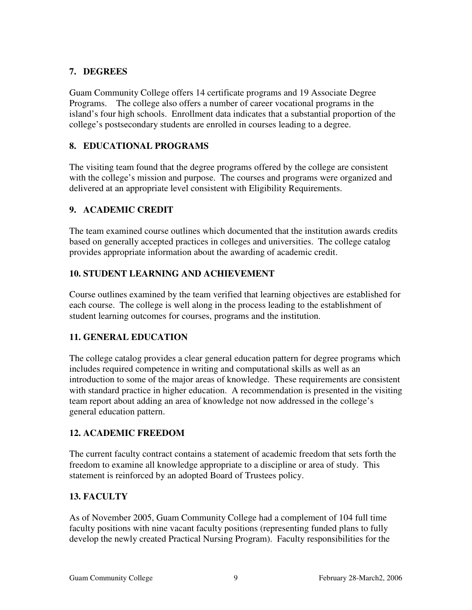# **7. DEGREES**

Guam Community College offers 14 certificate programs and 19 Associate Degree Programs. The college also offers a number of career vocational programs in the island's four high schools. Enrollment data indicates that a substantial proportion of the college's postsecondary students are enrolled in courses leading to a degree.

# **8. EDUCATIONAL PROGRAMS**

The visiting team found that the degree programs offered by the college are consistent with the college's mission and purpose. The courses and programs were organized and delivered at an appropriate level consistent with Eligibility Requirements.

# **9. ACADEMIC CREDIT**

The team examined course outlines which documented that the institution awards credits based on generally accepted practices in colleges and universities. The college catalog provides appropriate information about the awarding of academic credit.

# **10. STUDENT LEARNING AND ACHIEVEMENT**

Course outlines examined by the team verified that learning objectives are established for each course. The college is well along in the process leading to the establishment of student learning outcomes for courses, programs and the institution.

## **11. GENERAL EDUCATION**

The college catalog provides a clear general education pattern for degree programs which includes required competence in writing and computational skills as well as an introduction to some of the major areas of knowledge. These requirements are consistent with standard practice in higher education. A recommendation is presented in the visiting team report about adding an area of knowledge not now addressed in the college's general education pattern.

## **12. ACADEMIC FREEDOM**

The current faculty contract contains a statement of academic freedom that sets forth the freedom to examine all knowledge appropriate to a discipline or area of study. This statement is reinforced by an adopted Board of Trustees policy.

## **13. FACULTY**

As of November 2005, Guam Community College had a complement of 104 full time faculty positions with nine vacant faculty positions (representing funded plans to fully develop the newly created Practical Nursing Program). Faculty responsibilities for the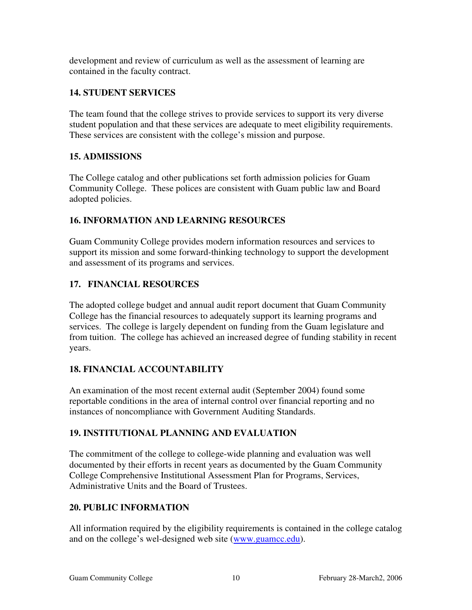development and review of curriculum as well as the assessment of learning are contained in the faculty contract.

# **14. STUDENT SERVICES**

The team found that the college strives to provide services to support its very diverse student population and that these services are adequate to meet eligibility requirements. These services are consistent with the college's mission and purpose.

# **15. ADMISSIONS**

The College catalog and other publications set forth admission policies for Guam Community College. These polices are consistent with Guam public law and Board adopted policies.

# **16. INFORMATION AND LEARNING RESOURCES**

Guam Community College provides modern information resources and services to support its mission and some forward-thinking technology to support the development and assessment of its programs and services.

# **17. FINANCIAL RESOURCES**

The adopted college budget and annual audit report document that Guam Community College has the financial resources to adequately support its learning programs and services. The college is largely dependent on funding from the Guam legislature and from tuition. The college has achieved an increased degree of funding stability in recent years.

# **18. FINANCIAL ACCOUNTABILITY**

An examination of the most recent external audit (September 2004) found some reportable conditions in the area of internal control over financial reporting and no instances of noncompliance with Government Auditing Standards.

# **19. INSTITUTIONAL PLANNING AND EVALUATION**

The commitment of the college to college-wide planning and evaluation was well documented by their efforts in recent years as documented by the Guam Community College Comprehensive Institutional Assessment Plan for Programs, Services, Administrative Units and the Board of Trustees.

# **20. PUBLIC INFORMATION**

All information required by the eligibility requirements is contained in the college catalog and on the college's wel-designed web site (www.guamcc.edu).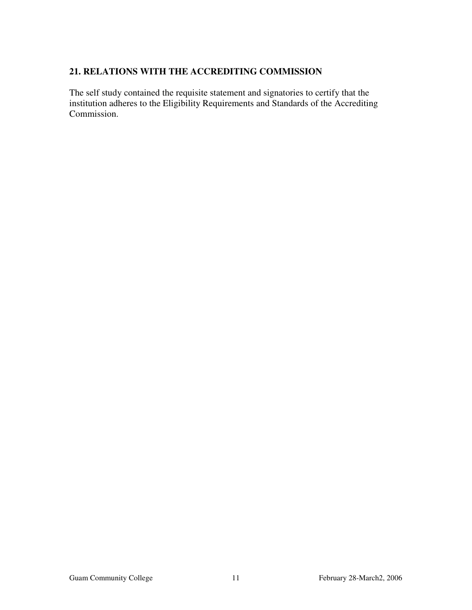# **21. RELATIONS WITH THE ACCREDITING COMMISSION**

The self study contained the requisite statement and signatories to certify that the institution adheres to the Eligibility Requirements and Standards of the Accrediting Commission.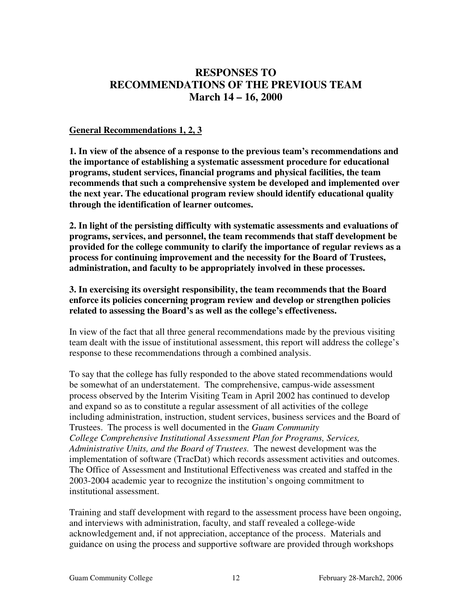# **RESPONSES TO RECOMMENDATIONS OF THE PREVIOUS TEAM March 14 – 16, 2000**

#### **General Recommendations 1, 2, 3**

**1. In view of the absence of a response to the previous team's recommendations and the importance of establishing a systematic assessment procedure for educational programs, student services, financial programs and physical facilities, the team recommends that such a comprehensive system be developed and implemented over the next year. The educational program review should identify educational quality through the identification of learner outcomes.** 

**2. In light of the persisting difficulty with systematic assessments and evaluations of programs, services, and personnel, the team recommends that staff development be provided for the college community to clarify the importance of regular reviews as a process for continuing improvement and the necessity for the Board of Trustees, administration, and faculty to be appropriately involved in these processes.** 

**3. In exercising its oversight responsibility, the team recommends that the Board enforce its policies concerning program review and develop or strengthen policies related to assessing the Board's as well as the college's effectiveness.** 

In view of the fact that all three general recommendations made by the previous visiting team dealt with the issue of institutional assessment, this report will address the college's response to these recommendations through a combined analysis.

To say that the college has fully responded to the above stated recommendations would be somewhat of an understatement. The comprehensive, campus-wide assessment process observed by the Interim Visiting Team in April 2002 has continued to develop and expand so as to constitute a regular assessment of all activities of the college including administration, instruction, student services, business services and the Board of Trustees. The process is well documented in the *Guam Community College Comprehensive Institutional Assessment Plan for Programs, Services, Administrative Units, and the Board of Trustees.* The newest development was the implementation of software (TracDat) which records assessment activities and outcomes. The Office of Assessment and Institutional Effectiveness was created and staffed in the 2003-2004 academic year to recognize the institution's ongoing commitment to institutional assessment.

Training and staff development with regard to the assessment process have been ongoing, and interviews with administration, faculty, and staff revealed a college-wide acknowledgement and, if not appreciation, acceptance of the process. Materials and guidance on using the process and supportive software are provided through workshops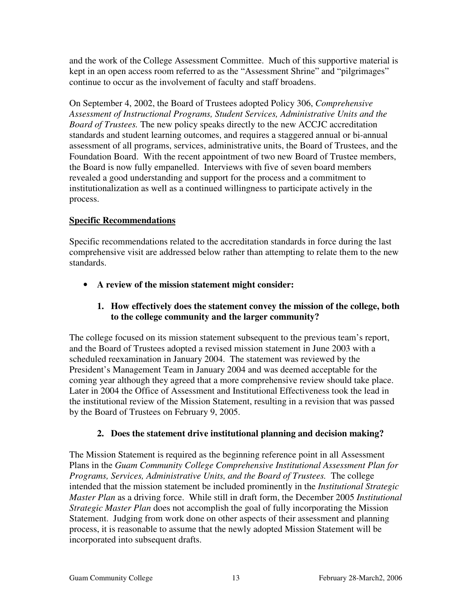and the work of the College Assessment Committee. Much of this supportive material is kept in an open access room referred to as the "Assessment Shrine" and "pilgrimages" continue to occur as the involvement of faculty and staff broadens.

On September 4, 2002, the Board of Trustees adopted Policy 306, *Comprehensive Assessment of Instructional Programs, Student Services, Administrative Units and the Board of Trustees.* The new policy speaks directly to the new ACCJC accreditation standards and student learning outcomes, and requires a staggered annual or bi-annual assessment of all programs, services, administrative units, the Board of Trustees, and the Foundation Board. With the recent appointment of two new Board of Trustee members, the Board is now fully empanelled. Interviews with five of seven board members revealed a good understanding and support for the process and a commitment to institutionalization as well as a continued willingness to participate actively in the process.

# **Specific Recommendations**

Specific recommendations related to the accreditation standards in force during the last comprehensive visit are addressed below rather than attempting to relate them to the new standards.

• **A review of the mission statement might consider:** 

# **1. How effectively does the statement convey the mission of the college, both to the college community and the larger community?**

The college focused on its mission statement subsequent to the previous team's report, and the Board of Trustees adopted a revised mission statement in June 2003 with a scheduled reexamination in January 2004. The statement was reviewed by the President's Management Team in January 2004 and was deemed acceptable for the coming year although they agreed that a more comprehensive review should take place. Later in 2004 the Office of Assessment and Institutional Effectiveness took the lead in the institutional review of the Mission Statement, resulting in a revision that was passed by the Board of Trustees on February 9, 2005.

## **2. Does the statement drive institutional planning and decision making?**

The Mission Statement is required as the beginning reference point in all Assessment Plans in the *Guam Community College Comprehensive Institutional Assessment Plan for Programs, Services, Administrative Units, and the Board of Trustees.* The college intended that the mission statement be included prominently in the *Institutional Strategic Master Plan* as a driving force. While still in draft form, the December 2005 *Institutional Strategic Master Plan* does not accomplish the goal of fully incorporating the Mission Statement. Judging from work done on other aspects of their assessment and planning process, it is reasonable to assume that the newly adopted Mission Statement will be incorporated into subsequent drafts.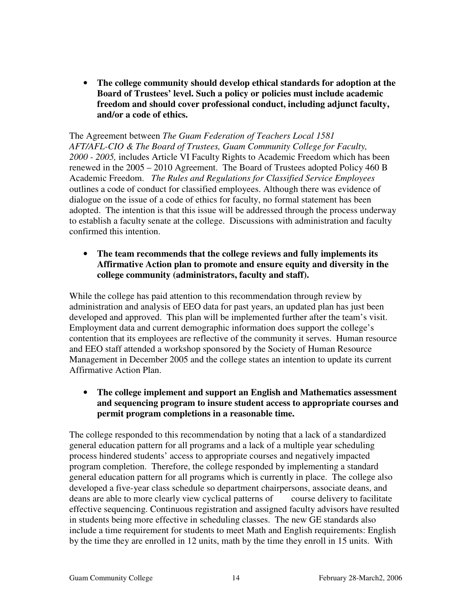• **The college community should develop ethical standards for adoption at the Board of Trustees' level. Such a policy or policies must include academic freedom and should cover professional conduct, including adjunct faculty, and/or a code of ethics.**

The Agreement between *The Guam Federation of Teachers Local 1581 AFT/AFL-CIO & The Board of Trustees, Guam Community College for Faculty, 2000 - 2005,* includes Article VI Faculty Rights to Academic Freedom which has been renewed in the 2005 – 2010 Agreement. The Board of Trustees adopted Policy 460 B Academic Freedom. *The Rules and Regulations for Classified Service Employees* outlines a code of conduct for classified employees. Although there was evidence of dialogue on the issue of a code of ethics for faculty, no formal statement has been adopted. The intention is that this issue will be addressed through the process underway to establish a faculty senate at the college. Discussions with administration and faculty confirmed this intention.

# • **The team recommends that the college reviews and fully implements its Affirmative Action plan to promote and ensure equity and diversity in the college community (administrators, faculty and staff).**

While the college has paid attention to this recommendation through review by administration and analysis of EEO data for past years, an updated plan has just been developed and approved. This plan will be implemented further after the team's visit. Employment data and current demographic information does support the college's contention that its employees are reflective of the community it serves. Human resource and EEO staff attended a workshop sponsored by the Society of Human Resource Management in December 2005 and the college states an intention to update its current Affirmative Action Plan.

• **The college implement and support an English and Mathematics assessment and sequencing program to insure student access to appropriate courses and permit program completions in a reasonable time.** 

The college responded to this recommendation by noting that a lack of a standardized general education pattern for all programs and a lack of a multiple year scheduling process hindered students' access to appropriate courses and negatively impacted program completion. Therefore, the college responded by implementing a standard general education pattern for all programs which is currently in place. The college also developed a five-year class schedule so department chairpersons, associate deans, and deans are able to more clearly view cyclical patterns of course delivery to facilitate effective sequencing. Continuous registration and assigned faculty advisors have resulted in students being more effective in scheduling classes. The new GE standards also include a time requirement for students to meet Math and English requirements: English by the time they are enrolled in 12 units, math by the time they enroll in 15 units. With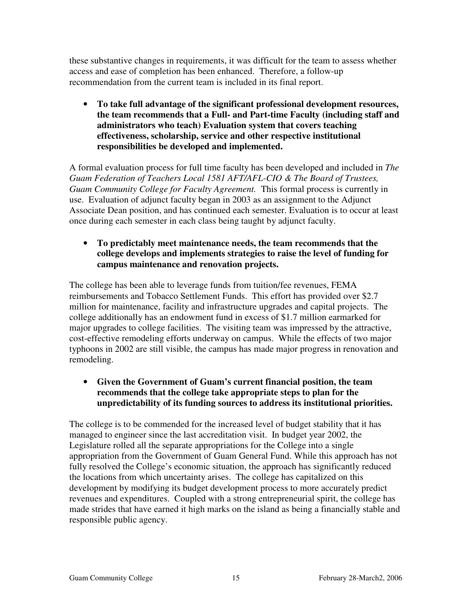these substantive changes in requirements, it was difficult for the team to assess whether access and ease of completion has been enhanced. Therefore, a follow-up recommendation from the current team is included in its final report.

• **To take full advantage of the significant professional development resources, the team recommends that a Full- and Part-time Faculty (including staff and administrators who teach) Evaluation system that covers teaching effectiveness, scholarship, service and other respective institutional responsibilities be developed and implemented.** 

A formal evaluation process for full time faculty has been developed and included in *The Guam Federation of Teachers Local 1581 AFT/AFL-CIO & The Board of Trustees, Guam Community College for Faculty Agreement.* This formal process is currently in use. Evaluation of adjunct faculty began in 2003 as an assignment to the Adjunct Associate Dean position, and has continued each semester. Evaluation is to occur at least once during each semester in each class being taught by adjunct faculty.

• **To predictably meet maintenance needs, the team recommends that the college develops and implements strategies to raise the level of funding for campus maintenance and renovation projects.** 

The college has been able to leverage funds from tuition/fee revenues, FEMA reimbursements and Tobacco Settlement Funds. This effort has provided over \$2.7 million for maintenance, facility and infrastructure upgrades and capital projects. The college additionally has an endowment fund in excess of \$1.7 million earmarked for major upgrades to college facilities. The visiting team was impressed by the attractive, cost-effective remodeling efforts underway on campus. While the effects of two major typhoons in 2002 are still visible, the campus has made major progress in renovation and remodeling.

• **Given the Government of Guam's current financial position, the team recommends that the college take appropriate steps to plan for the unpredictability of its funding sources to address its institutional priorities.** 

The college is to be commended for the increased level of budget stability that it has managed to engineer since the last accreditation visit. In budget year 2002, the Legislature rolled all the separate appropriations for the College into a single appropriation from the Government of Guam General Fund. While this approach has not fully resolved the College's economic situation, the approach has significantly reduced the locations from which uncertainty arises. The college has capitalized on this development by modifying its budget development process to more accurately predict revenues and expenditures. Coupled with a strong entrepreneurial spirit, the college has made strides that have earned it high marks on the island as being a financially stable and responsible public agency.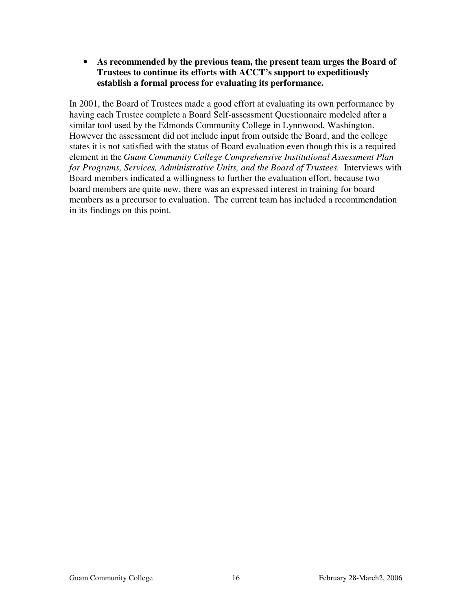• **As recommended by the previous team, the present team urges the Board of Trustees to continue its efforts with ACCT's support to expeditiously establish a formal process for evaluating its performance.** 

In 2001, the Board of Trustees made a good effort at evaluating its own performance by having each Trustee complete a Board Self-assessment Questionnaire modeled after a similar tool used by the Edmonds Community College in Lynnwood, Washington. However the assessment did not include input from outside the Board, and the college states it is not satisfied with the status of Board evaluation even though this is a required element in the *Guam Community College Comprehensive Institutional Assessment Plan for Programs, Services, Administrative Units, and the Board of Trustees.* Interviews with Board members indicated a willingness to further the evaluation effort, because two board members are quite new, there was an expressed interest in training for board members as a precursor to evaluation. The current team has included a recommendation in its findings on this point.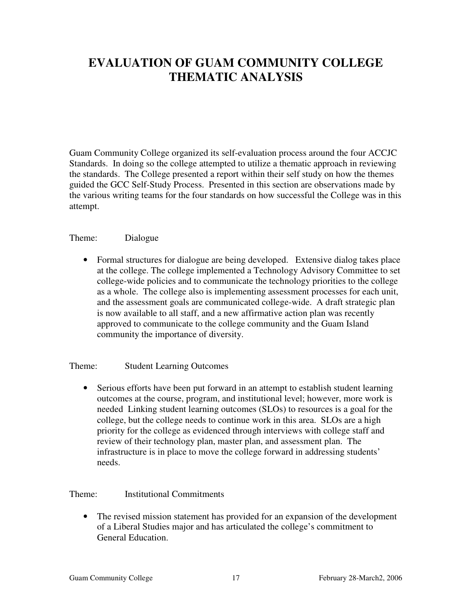# **EVALUATION OF GUAM COMMUNITY COLLEGE THEMATIC ANALYSIS**

Guam Community College organized its self-evaluation process around the four ACCJC Standards. In doing so the college attempted to utilize a thematic approach in reviewing the standards. The College presented a report within their self study on how the themes guided the GCC Self-Study Process. Presented in this section are observations made by the various writing teams for the four standards on how successful the College was in this attempt.

#### Theme: Dialogue

• Formal structures for dialogue are being developed. Extensive dialog takes place at the college. The college implemented a Technology Advisory Committee to set college-wide policies and to communicate the technology priorities to the college as a whole. The college also is implementing assessment processes for each unit, and the assessment goals are communicated college-wide. A draft strategic plan is now available to all staff, and a new affirmative action plan was recently approved to communicate to the college community and the Guam Island community the importance of diversity.

Theme: Student Learning Outcomes

• Serious efforts have been put forward in an attempt to establish student learning outcomes at the course, program, and institutional level; however, more work is needed Linking student learning outcomes (SLOs) to resources is a goal for the college, but the college needs to continue work in this area. SLOs are a high priority for the college as evidenced through interviews with college staff and review of their technology plan, master plan, and assessment plan. The infrastructure is in place to move the college forward in addressing students' needs.

Theme: Institutional Commitments

• The revised mission statement has provided for an expansion of the development of a Liberal Studies major and has articulated the college's commitment to General Education.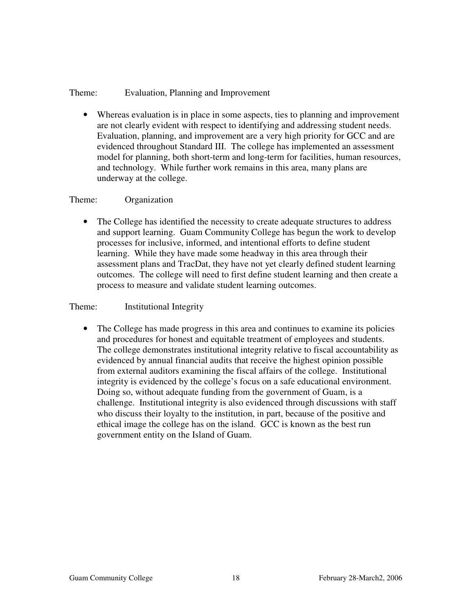#### Theme: Evaluation, Planning and Improvement

• Whereas evaluation is in place in some aspects, ties to planning and improvement are not clearly evident with respect to identifying and addressing student needs. Evaluation, planning, and improvement are a very high priority for GCC and are evidenced throughout Standard III. The college has implemented an assessment model for planning, both short-term and long-term for facilities, human resources, and technology. While further work remains in this area, many plans are underway at the college.

#### Theme: Organization

• The College has identified the necessity to create adequate structures to address and support learning. Guam Community College has begun the work to develop processes for inclusive, informed, and intentional efforts to define student learning. While they have made some headway in this area through their assessment plans and TracDat, they have not yet clearly defined student learning outcomes. The college will need to first define student learning and then create a process to measure and validate student learning outcomes.

#### Theme: Institutional Integrity

• The College has made progress in this area and continues to examine its policies and procedures for honest and equitable treatment of employees and students. The college demonstrates institutional integrity relative to fiscal accountability as evidenced by annual financial audits that receive the highest opinion possible from external auditors examining the fiscal affairs of the college. Institutional integrity is evidenced by the college's focus on a safe educational environment. Doing so, without adequate funding from the government of Guam, is a challenge. Institutional integrity is also evidenced through discussions with staff who discuss their loyalty to the institution, in part, because of the positive and ethical image the college has on the island. GCC is known as the best run government entity on the Island of Guam.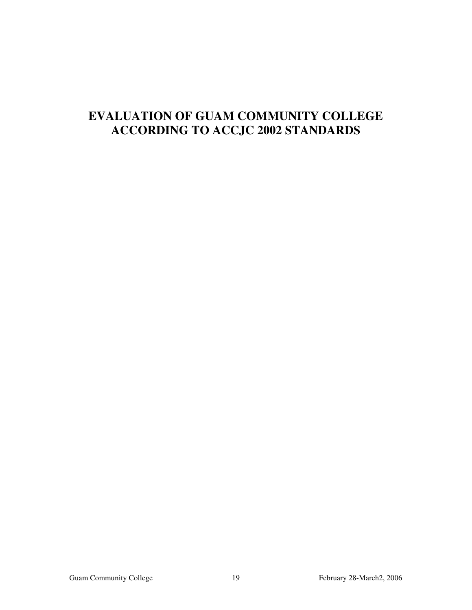# **EVALUATION OF GUAM COMMUNITY COLLEGE ACCORDING TO ACCJC 2002 STANDARDS**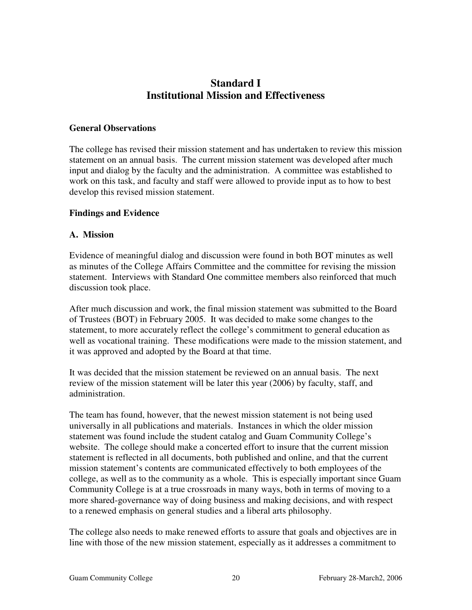# **Standard I Institutional Mission and Effectiveness**

#### **General Observations**

The college has revised their mission statement and has undertaken to review this mission statement on an annual basis. The current mission statement was developed after much input and dialog by the faculty and the administration. A committee was established to work on this task, and faculty and staff were allowed to provide input as to how to best develop this revised mission statement.

#### **Findings and Evidence**

#### **A. Mission**

Evidence of meaningful dialog and discussion were found in both BOT minutes as well as minutes of the College Affairs Committee and the committee for revising the mission statement. Interviews with Standard One committee members also reinforced that much discussion took place.

After much discussion and work, the final mission statement was submitted to the Board of Trustees (BOT) in February 2005. It was decided to make some changes to the statement, to more accurately reflect the college's commitment to general education as well as vocational training. These modifications were made to the mission statement, and it was approved and adopted by the Board at that time.

It was decided that the mission statement be reviewed on an annual basis. The next review of the mission statement will be later this year (2006) by faculty, staff, and administration.

The team has found, however, that the newest mission statement is not being used universally in all publications and materials. Instances in which the older mission statement was found include the student catalog and Guam Community College's website. The college should make a concerted effort to insure that the current mission statement is reflected in all documents, both published and online, and that the current mission statement's contents are communicated effectively to both employees of the college, as well as to the community as a whole. This is especially important since Guam Community College is at a true crossroads in many ways, both in terms of moving to a more shared-governance way of doing business and making decisions, and with respect to a renewed emphasis on general studies and a liberal arts philosophy.

The college also needs to make renewed efforts to assure that goals and objectives are in line with those of the new mission statement, especially as it addresses a commitment to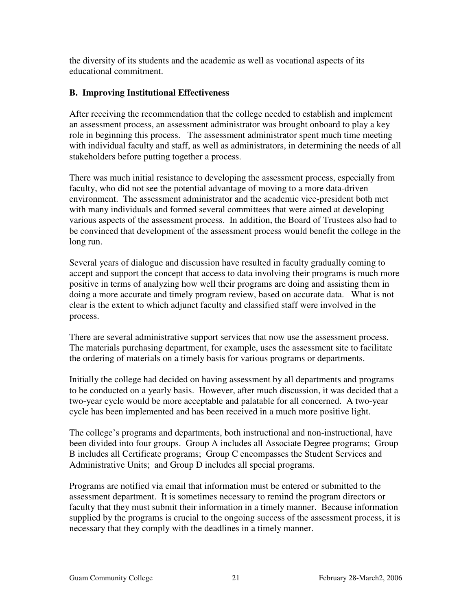the diversity of its students and the academic as well as vocational aspects of its educational commitment.

## **B. Improving Institutional Effectiveness**

After receiving the recommendation that the college needed to establish and implement an assessment process, an assessment administrator was brought onboard to play a key role in beginning this process. The assessment administrator spent much time meeting with individual faculty and staff, as well as administrators, in determining the needs of all stakeholders before putting together a process.

There was much initial resistance to developing the assessment process, especially from faculty, who did not see the potential advantage of moving to a more data-driven environment. The assessment administrator and the academic vice-president both met with many individuals and formed several committees that were aimed at developing various aspects of the assessment process. In addition, the Board of Trustees also had to be convinced that development of the assessment process would benefit the college in the long run.

Several years of dialogue and discussion have resulted in faculty gradually coming to accept and support the concept that access to data involving their programs is much more positive in terms of analyzing how well their programs are doing and assisting them in doing a more accurate and timely program review, based on accurate data. What is not clear is the extent to which adjunct faculty and classified staff were involved in the process.

There are several administrative support services that now use the assessment process. The materials purchasing department, for example, uses the assessment site to facilitate the ordering of materials on a timely basis for various programs or departments.

Initially the college had decided on having assessment by all departments and programs to be conducted on a yearly basis. However, after much discussion, it was decided that a two-year cycle would be more acceptable and palatable for all concerned. A two-year cycle has been implemented and has been received in a much more positive light.

The college's programs and departments, both instructional and non-instructional, have been divided into four groups. Group A includes all Associate Degree programs; Group B includes all Certificate programs; Group C encompasses the Student Services and Administrative Units; and Group D includes all special programs.

Programs are notified via email that information must be entered or submitted to the assessment department. It is sometimes necessary to remind the program directors or faculty that they must submit their information in a timely manner. Because information supplied by the programs is crucial to the ongoing success of the assessment process, it is necessary that they comply with the deadlines in a timely manner.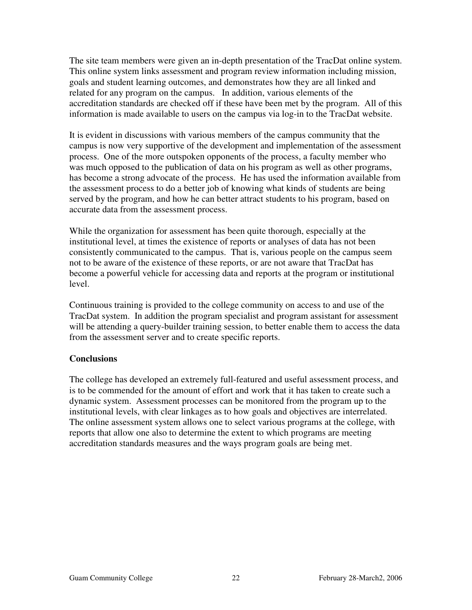The site team members were given an in-depth presentation of the TracDat online system. This online system links assessment and program review information including mission, goals and student learning outcomes, and demonstrates how they are all linked and related for any program on the campus. In addition, various elements of the accreditation standards are checked off if these have been met by the program. All of this information is made available to users on the campus via log-in to the TracDat website.

It is evident in discussions with various members of the campus community that the campus is now very supportive of the development and implementation of the assessment process. One of the more outspoken opponents of the process, a faculty member who was much opposed to the publication of data on his program as well as other programs, has become a strong advocate of the process. He has used the information available from the assessment process to do a better job of knowing what kinds of students are being served by the program, and how he can better attract students to his program, based on accurate data from the assessment process.

While the organization for assessment has been quite thorough, especially at the institutional level, at times the existence of reports or analyses of data has not been consistently communicated to the campus. That is, various people on the campus seem not to be aware of the existence of these reports, or are not aware that TracDat has become a powerful vehicle for accessing data and reports at the program or institutional level.

Continuous training is provided to the college community on access to and use of the TracDat system. In addition the program specialist and program assistant for assessment will be attending a query-builder training session, to better enable them to access the data from the assessment server and to create specific reports.

#### **Conclusions**

The college has developed an extremely full-featured and useful assessment process, and is to be commended for the amount of effort and work that it has taken to create such a dynamic system. Assessment processes can be monitored from the program up to the institutional levels, with clear linkages as to how goals and objectives are interrelated. The online assessment system allows one to select various programs at the college, with reports that allow one also to determine the extent to which programs are meeting accreditation standards measures and the ways program goals are being met.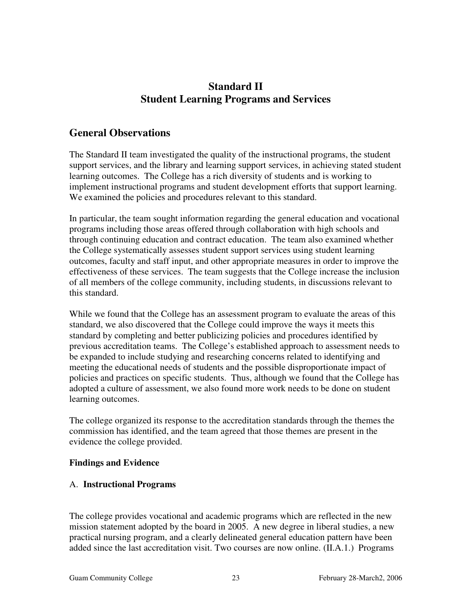# **Standard II Student Learning Programs and Services**

# **General Observations**

The Standard II team investigated the quality of the instructional programs, the student support services, and the library and learning support services, in achieving stated student learning outcomes. The College has a rich diversity of students and is working to implement instructional programs and student development efforts that support learning. We examined the policies and procedures relevant to this standard.

In particular, the team sought information regarding the general education and vocational programs including those areas offered through collaboration with high schools and through continuing education and contract education. The team also examined whether the College systematically assesses student support services using student learning outcomes, faculty and staff input, and other appropriate measures in order to improve the effectiveness of these services. The team suggests that the College increase the inclusion of all members of the college community, including students, in discussions relevant to this standard.

While we found that the College has an assessment program to evaluate the areas of this standard, we also discovered that the College could improve the ways it meets this standard by completing and better publicizing policies and procedures identified by previous accreditation teams. The College's established approach to assessment needs to be expanded to include studying and researching concerns related to identifying and meeting the educational needs of students and the possible disproportionate impact of policies and practices on specific students. Thus, although we found that the College has adopted a culture of assessment, we also found more work needs to be done on student learning outcomes.

The college organized its response to the accreditation standards through the themes the commission has identified, and the team agreed that those themes are present in the evidence the college provided.

## **Findings and Evidence**

## A. **Instructional Programs**

The college provides vocational and academic programs which are reflected in the new mission statement adopted by the board in 2005. A new degree in liberal studies, a new practical nursing program, and a clearly delineated general education pattern have been added since the last accreditation visit. Two courses are now online. (II.A.1.) Programs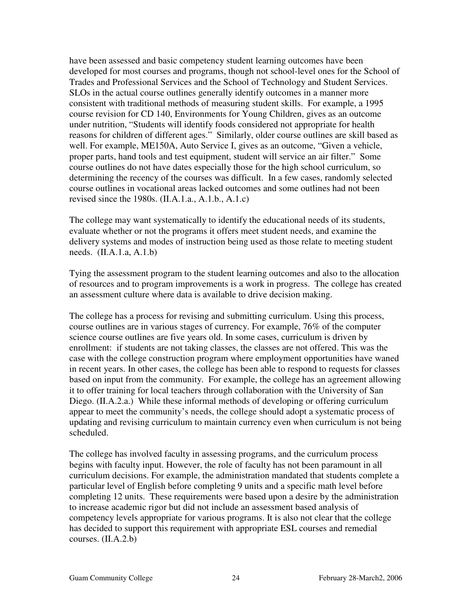have been assessed and basic competency student learning outcomes have been developed for most courses and programs, though not school-level ones for the School of Trades and Professional Services and the School of Technology and Student Services. SLOs in the actual course outlines generally identify outcomes in a manner more consistent with traditional methods of measuring student skills. For example, a 1995 course revision for CD 140, Environments for Young Children, gives as an outcome under nutrition, "Students will identify foods considered not appropriate for health reasons for children of different ages." Similarly, older course outlines are skill based as well. For example, ME150A, Auto Service I, gives as an outcome, "Given a vehicle, proper parts, hand tools and test equipment, student will service an air filter." Some course outlines do not have dates especially those for the high school curriculum, so determining the recency of the courses was difficult. In a few cases, randomly selected course outlines in vocational areas lacked outcomes and some outlines had not been revised since the 1980s. (II.A.1.a., A.1.b., A.1.c)

The college may want systematically to identify the educational needs of its students, evaluate whether or not the programs it offers meet student needs, and examine the delivery systems and modes of instruction being used as those relate to meeting student needs. (II.A.1.a, A.1.b)

Tying the assessment program to the student learning outcomes and also to the allocation of resources and to program improvements is a work in progress. The college has created an assessment culture where data is available to drive decision making.

The college has a process for revising and submitting curriculum. Using this process, course outlines are in various stages of currency. For example, 76% of the computer science course outlines are five years old. In some cases, curriculum is driven by enrollment: if students are not taking classes, the classes are not offered. This was the case with the college construction program where employment opportunities have waned in recent years. In other cases, the college has been able to respond to requests for classes based on input from the community. For example, the college has an agreement allowing it to offer training for local teachers through collaboration with the University of San Diego. (II.A.2.a.) While these informal methods of developing or offering curriculum appear to meet the community's needs, the college should adopt a systematic process of updating and revising curriculum to maintain currency even when curriculum is not being scheduled.

The college has involved faculty in assessing programs, and the curriculum process begins with faculty input. However, the role of faculty has not been paramount in all curriculum decisions. For example, the administration mandated that students complete a particular level of English before completing 9 units and a specific math level before completing 12 units. These requirements were based upon a desire by the administration to increase academic rigor but did not include an assessment based analysis of competency levels appropriate for various programs. It is also not clear that the college has decided to support this requirement with appropriate ESL courses and remedial courses. (II.A.2.b)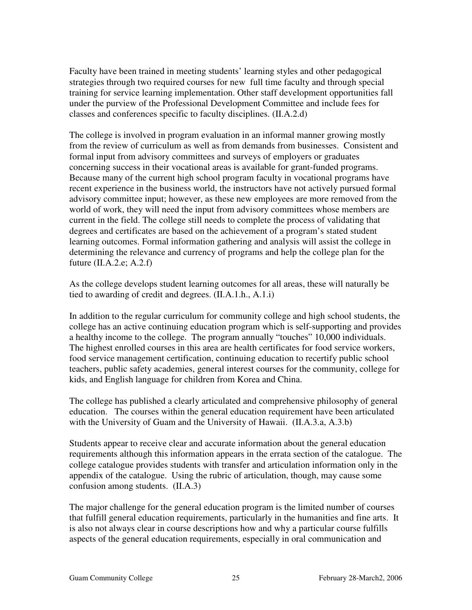Faculty have been trained in meeting students' learning styles and other pedagogical strategies through two required courses for new full time faculty and through special training for service learning implementation. Other staff development opportunities fall under the purview of the Professional Development Committee and include fees for classes and conferences specific to faculty disciplines. (II.A.2.d)

The college is involved in program evaluation in an informal manner growing mostly from the review of curriculum as well as from demands from businesses. Consistent and formal input from advisory committees and surveys of employers or graduates concerning success in their vocational areas is available for grant-funded programs. Because many of the current high school program faculty in vocational programs have recent experience in the business world, the instructors have not actively pursued formal advisory committee input; however, as these new employees are more removed from the world of work, they will need the input from advisory committees whose members are current in the field. The college still needs to complete the process of validating that degrees and certificates are based on the achievement of a program's stated student learning outcomes. Formal information gathering and analysis will assist the college in determining the relevance and currency of programs and help the college plan for the future  $(II.A.2.e; A.2.f)$ 

As the college develops student learning outcomes for all areas, these will naturally be tied to awarding of credit and degrees. (II.A.1.h., A.1.i)

In addition to the regular curriculum for community college and high school students, the college has an active continuing education program which is self-supporting and provides a healthy income to the college. The program annually "touches" 10,000 individuals. The highest enrolled courses in this area are health certificates for food service workers, food service management certification, continuing education to recertify public school teachers, public safety academies, general interest courses for the community, college for kids, and English language for children from Korea and China.

The college has published a clearly articulated and comprehensive philosophy of general education. The courses within the general education requirement have been articulated with the University of Guam and the University of Hawaii. (II.A.3.a, A.3.b)

Students appear to receive clear and accurate information about the general education requirements although this information appears in the errata section of the catalogue. The college catalogue provides students with transfer and articulation information only in the appendix of the catalogue. Using the rubric of articulation, though, may cause some confusion among students. (II.A.3)

The major challenge for the general education program is the limited number of courses that fulfill general education requirements, particularly in the humanities and fine arts. It is also not always clear in course descriptions how and why a particular course fulfills aspects of the general education requirements, especially in oral communication and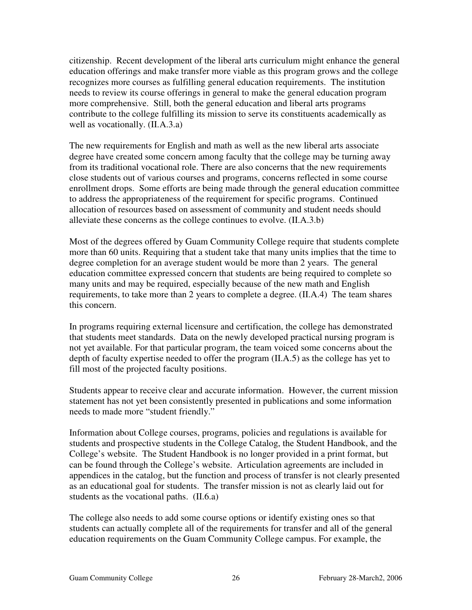citizenship. Recent development of the liberal arts curriculum might enhance the general education offerings and make transfer more viable as this program grows and the college recognizes more courses as fulfilling general education requirements. The institution needs to review its course offerings in general to make the general education program more comprehensive. Still, both the general education and liberal arts programs contribute to the college fulfilling its mission to serve its constituents academically as well as vocationally. (II.A.3.a)

The new requirements for English and math as well as the new liberal arts associate degree have created some concern among faculty that the college may be turning away from its traditional vocational role. There are also concerns that the new requirements close students out of various courses and programs, concerns reflected in some course enrollment drops. Some efforts are being made through the general education committee to address the appropriateness of the requirement for specific programs. Continued allocation of resources based on assessment of community and student needs should alleviate these concerns as the college continues to evolve. (II.A.3.b)

Most of the degrees offered by Guam Community College require that students complete more than 60 units. Requiring that a student take that many units implies that the time to degree completion for an average student would be more than 2 years. The general education committee expressed concern that students are being required to complete so many units and may be required, especially because of the new math and English requirements, to take more than 2 years to complete a degree. (II.A.4) The team shares this concern.

In programs requiring external licensure and certification, the college has demonstrated that students meet standards. Data on the newly developed practical nursing program is not yet available. For that particular program, the team voiced some concerns about the depth of faculty expertise needed to offer the program (II.A.5) as the college has yet to fill most of the projected faculty positions.

Students appear to receive clear and accurate information. However, the current mission statement has not yet been consistently presented in publications and some information needs to made more "student friendly."

Information about College courses, programs, policies and regulations is available for students and prospective students in the College Catalog, the Student Handbook, and the College's website. The Student Handbook is no longer provided in a print format, but can be found through the College's website. Articulation agreements are included in appendices in the catalog, but the function and process of transfer is not clearly presented as an educational goal for students. The transfer mission is not as clearly laid out for students as the vocational paths. (II.6.a)

The college also needs to add some course options or identify existing ones so that students can actually complete all of the requirements for transfer and all of the general education requirements on the Guam Community College campus. For example, the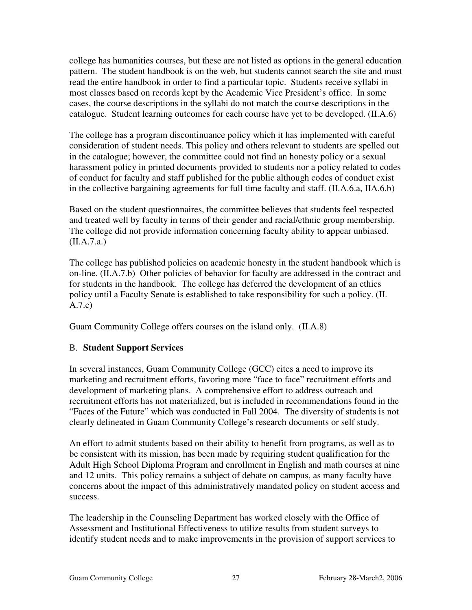college has humanities courses, but these are not listed as options in the general education pattern. The student handbook is on the web, but students cannot search the site and must read the entire handbook in order to find a particular topic. Students receive syllabi in most classes based on records kept by the Academic Vice President's office. In some cases, the course descriptions in the syllabi do not match the course descriptions in the catalogue. Student learning outcomes for each course have yet to be developed. (II.A.6)

The college has a program discontinuance policy which it has implemented with careful consideration of student needs. This policy and others relevant to students are spelled out in the catalogue; however, the committee could not find an honesty policy or a sexual harassment policy in printed documents provided to students nor a policy related to codes of conduct for faculty and staff published for the public although codes of conduct exist in the collective bargaining agreements for full time faculty and staff. (II.A.6.a, IIA.6.b)

Based on the student questionnaires, the committee believes that students feel respected and treated well by faculty in terms of their gender and racial/ethnic group membership. The college did not provide information concerning faculty ability to appear unbiased. (II.A.7.a.)

The college has published policies on academic honesty in the student handbook which is on-line. (II.A.7.b) Other policies of behavior for faculty are addressed in the contract and for students in the handbook. The college has deferred the development of an ethics policy until a Faculty Senate is established to take responsibility for such a policy. (II. A.7.c)

Guam Community College offers courses on the island only. (II.A.8)

# B. **Student Support Services**

In several instances, Guam Community College (GCC) cites a need to improve its marketing and recruitment efforts, favoring more "face to face" recruitment efforts and development of marketing plans. A comprehensive effort to address outreach and recruitment efforts has not materialized, but is included in recommendations found in the "Faces of the Future" which was conducted in Fall 2004. The diversity of students is not clearly delineated in Guam Community College's research documents or self study.

An effort to admit students based on their ability to benefit from programs, as well as to be consistent with its mission, has been made by requiring student qualification for the Adult High School Diploma Program and enrollment in English and math courses at nine and 12 units. This policy remains a subject of debate on campus, as many faculty have concerns about the impact of this administratively mandated policy on student access and success.

The leadership in the Counseling Department has worked closely with the Office of Assessment and Institutional Effectiveness to utilize results from student surveys to identify student needs and to make improvements in the provision of support services to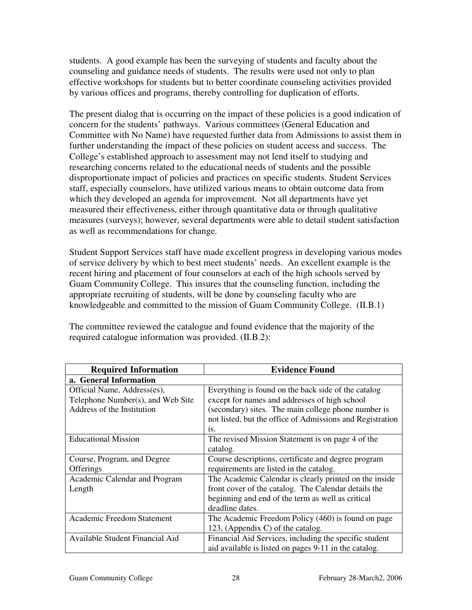students. A good example has been the surveying of students and faculty about the counseling and guidance needs of students. The results were used not only to plan effective workshops for students but to better coordinate counseling activities provided by various offices and programs, thereby controlling for duplication of efforts.

The present dialog that is occurring on the impact of these policies is a good indication of concern for the students' pathways. Various committees (General Education and Committee with No Name) have requested further data from Admissions to assist them in further understanding the impact of these policies on student access and success. The College's established approach to assessment may not lend itself to studying and researching concerns related to the educational needs of students and the possible disproportionate impact of policies and practices on specific students. Student Services staff, especially counselors, have utilized various means to obtain outcome data from which they developed an agenda for improvement. Not all departments have yet measured their effectiveness, either through quantitative data or through qualitative measures (surveys); however, several departments were able to detail student satisfaction as well as recommendations for change.

Student Support Services staff have made excellent progress in developing various modes of service delivery by which to best meet students' needs. An excellent example is the recent hiring and placement of four counselors at each of the high schools served by Guam Community College. This insures that the counseling function, including the appropriate recruiting of students, will be done by counseling faculty who are knowledgeable and committed to the mission of Guam Community College. (II.B.1)

| <b>Required Information</b>       | <b>Evidence Found</b>                                     |
|-----------------------------------|-----------------------------------------------------------|
| a. General Information            |                                                           |
| Official Name, Address(es),       | Everything is found on the back side of the catalog       |
| Telephone Number(s), and Web Site | except for names and addresses of high school             |
| Address of the Institution        | (secondary) sites. The main college phone number is       |
|                                   | not listed, but the office of Admissions and Registration |
|                                   | is.                                                       |
| <b>Educational Mission</b>        | The revised Mission Statement is on page 4 of the         |
|                                   | catalog.                                                  |
| Course, Program, and Degree       | Course descriptions, certificate and degree program       |
| <b>Offerings</b>                  | requirements are listed in the catalog.                   |
| Academic Calendar and Program     | The Academic Calendar is clearly printed on the inside    |
| Length                            | front cover of the catalog. The Calendar details the      |
|                                   | beginning and end of the term as well as critical         |
|                                   | deadline dates.                                           |
| Academic Freedom Statement        | The Academic Freedom Policy (460) is found on page        |
|                                   | 123, (Appendix C) of the catalog.                         |
| Available Student Financial Aid   | Financial Aid Services, including the specific student    |
|                                   | aid available is listed on pages 9-11 in the catalog.     |

The committee reviewed the catalogue and found evidence that the majority of the required catalogue information was provided. (II.B.2):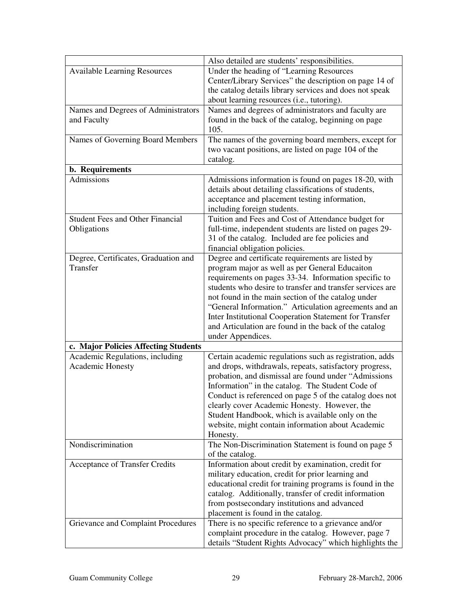|                                         | Also detailed are students' responsibilities.             |
|-----------------------------------------|-----------------------------------------------------------|
| <b>Available Learning Resources</b>     | Under the heading of "Learning Resources"                 |
|                                         | Center/Library Services" the description on page 14 of    |
|                                         | the catalog details library services and does not speak   |
|                                         | about learning resources (i.e., tutoring).                |
| Names and Degrees of Administrators     | Names and degrees of administrators and faculty are       |
| and Faculty                             | found in the back of the catalog, beginning on page       |
|                                         | 105.                                                      |
| Names of Governing Board Members        | The names of the governing board members, except for      |
|                                         | two vacant positions, are listed on page 104 of the       |
|                                         | catalog.                                                  |
| <b>b.</b> Requirements                  |                                                           |
| Admissions                              | Admissions information is found on pages 18-20, with      |
|                                         | details about detailing classifications of students,      |
|                                         | acceptance and placement testing information,             |
|                                         | including foreign students.                               |
| <b>Student Fees and Other Financial</b> |                                                           |
|                                         | Tuition and Fees and Cost of Attendance budget for        |
| Obligations                             | full-time, independent students are listed on pages 29-   |
|                                         | 31 of the catalog. Included are fee policies and          |
|                                         | financial obligation policies.                            |
| Degree, Certificates, Graduation and    | Degree and certificate requirements are listed by         |
| Transfer                                | program major as well as per General Educaiton            |
|                                         | requirements on pages 33-34. Information specific to      |
|                                         | students who desire to transfer and transfer services are |
|                                         | not found in the main section of the catalog under        |
|                                         | "General Information." Articulation agreements and an     |
|                                         | Inter Institutional Cooperation Statement for Transfer    |
|                                         | and Articulation are found in the back of the catalog     |
|                                         | under Appendices.                                         |
| c. Major Policies Affecting Students    |                                                           |
| Academic Regulations, including         | Certain academic regulations such as registration, adds   |
| Academic Honesty                        | and drops, withdrawals, repeats, satisfactory progress,   |
|                                         | probation, and dismissal are found under "Admissions      |
|                                         | Information" in the catalog. The Student Code of          |
|                                         | Conduct is referenced on page 5 of the catalog does not   |
|                                         | clearly cover Academic Honesty. However, the              |
|                                         | Student Handbook, which is available only on the          |
|                                         | website, might contain information about Academic         |
|                                         | Honesty.                                                  |
| Nondiscrimination                       | The Non-Discrimination Statement is found on page 5       |
|                                         | of the catalog.                                           |
| Acceptance of Transfer Credits          | Information about credit by examination, credit for       |
|                                         | military education, credit for prior learning and         |
|                                         | educational credit for training programs is found in the  |
|                                         | catalog. Additionally, transfer of credit information     |
|                                         | from postsecondary institutions and advanced              |
|                                         | placement is found in the catalog.                        |
| Grievance and Complaint Procedures      | There is no specific reference to a grievance and/or      |
|                                         | complaint procedure in the catalog. However, page 7       |
|                                         | details "Student Rights Advocacy" which highlights the    |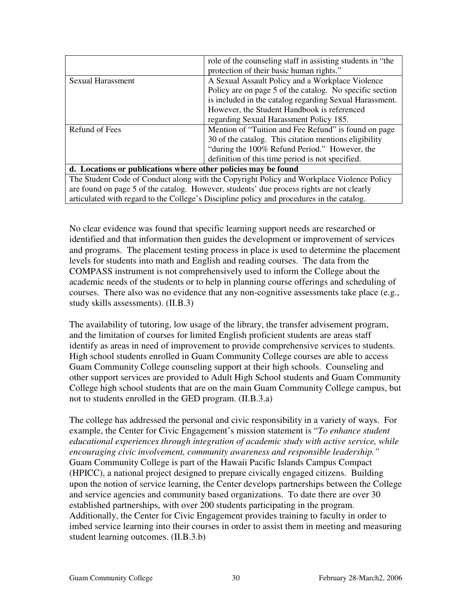|                                                                                           | role of the counseling staff in assisting students in "the |  |
|-------------------------------------------------------------------------------------------|------------------------------------------------------------|--|
|                                                                                           | protection of their basic human rights."                   |  |
| <b>Sexual Harassment</b>                                                                  | A Sexual Assault Policy and a Workplace Violence           |  |
|                                                                                           | Policy are on page 5 of the catalog. No specific section   |  |
|                                                                                           | is included in the catalog regarding Sexual Harassment.    |  |
|                                                                                           | However, the Student Handbook is referenced                |  |
|                                                                                           | regarding Sexual Harassment Policy 185.                    |  |
| Refund of Fees                                                                            | Mention of "Tuition and Fee Refund" is found on page       |  |
|                                                                                           | 30 of the catalog. This citation mentions eligibility      |  |
|                                                                                           | "during the 100% Refund Period." However, the              |  |
|                                                                                           | definition of this time period is not specified.           |  |
| d. Locations or publications where other policies may be found                            |                                                            |  |
| The Student Code of Conduct along with the Copyright Policy and Workplace Violence Policy |                                                            |  |
| are found on page 5 of the catalog. However, students' due process rights are not clearly |                                                            |  |
| articulated with regard to the College's Discipline policy and procedures in the catalog. |                                                            |  |

No clear evidence was found that specific learning support needs are researched or identified and that information then guides the development or improvement of services and programs. The placement testing process in place is used to determine the placement levels for students into math and English and reading courses. The data from the COMPASS instrument is not comprehensively used to inform the College about the academic needs of the students or to help in planning course offerings and scheduling of courses. There also was no evidence that any non-cognitive assessments take place (e.g., study skills assessments). (II.B.3)

The availability of tutoring, low usage of the library, the transfer advisement program, and the limitation of courses for limited English proficient students are areas staff identify as areas in need of improvement to provide comprehensive services to students. High school students enrolled in Guam Community College courses are able to access Guam Community College counseling support at their high schools. Counseling and other support services are provided to Adult High School students and Guam Community College high school students that are on the main Guam Community College campus, but not to students enrolled in the GED program. (II.B.3.a)

The college has addressed the personal and civic responsibility in a variety of ways. For example, the Center for Civic Engagement's mission statement is "*To enhance student educational experiences through integration of academic study with active service, while encouraging civic involvement, community awareness and responsible leadership."*  Guam Community College is part of the Hawaii Pacific Islands Campus Compact (HPICC), a national project designed to prepare civically engaged citizens. Building upon the notion of service learning, the Center develops partnerships between the College and service agencies and community based organizations. To date there are over 30 established partnerships, with over 200 students participating in the program. Additionally, the Center for Civic Engagement provides training to faculty in order to imbed service learning into their courses in order to assist them in meeting and measuring student learning outcomes. (II.B.3.b)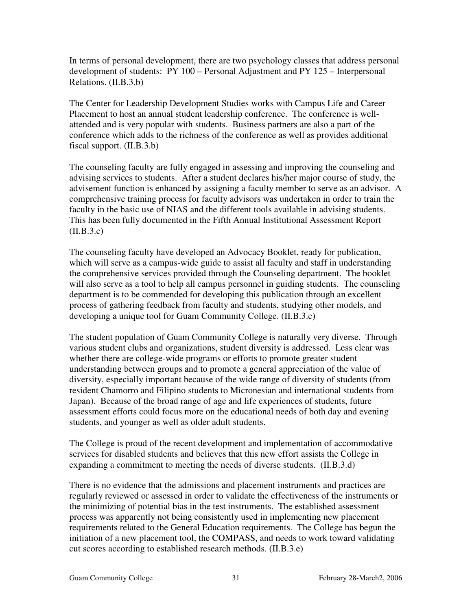In terms of personal development, there are two psychology classes that address personal development of students: PY 100 – Personal Adjustment and PY 125 – Interpersonal Relations. (II.B.3.b)

The Center for Leadership Development Studies works with Campus Life and Career Placement to host an annual student leadership conference. The conference is wellattended and is very popular with students. Business partners are also a part of the conference which adds to the richness of the conference as well as provides additional fiscal support. (II.B.3.b)

The counseling faculty are fully engaged in assessing and improving the counseling and advising services to students. After a student declares his/her major course of study, the advisement function is enhanced by assigning a faculty member to serve as an advisor. A comprehensive training process for faculty advisors was undertaken in order to train the faculty in the basic use of NIAS and the different tools available in advising students. This has been fully documented in the Fifth Annual Institutional Assessment Report  $(II.B.3.c)$ 

The counseling faculty have developed an Advocacy Booklet, ready for publication, which will serve as a campus-wide guide to assist all faculty and staff in understanding the comprehensive services provided through the Counseling department. The booklet will also serve as a tool to help all campus personnel in guiding students. The counseling department is to be commended for developing this publication through an excellent process of gathering feedback from faculty and students, studying other models, and developing a unique tool for Guam Community College. (II.B.3.c)

The student population of Guam Community College is naturally very diverse. Through various student clubs and organizations, student diversity is addressed. Less clear was whether there are college-wide programs or efforts to promote greater student understanding between groups and to promote a general appreciation of the value of diversity, especially important because of the wide range of diversity of students (from resident Chamorro and Filipino students to Micronesian and international students from Japan). Because of the broad range of age and life experiences of students, future assessment efforts could focus more on the educational needs of both day and evening students, and younger as well as older adult students.

The College is proud of the recent development and implementation of accommodative services for disabled students and believes that this new effort assists the College in expanding a commitment to meeting the needs of diverse students. (II.B.3.d)

There is no evidence that the admissions and placement instruments and practices are regularly reviewed or assessed in order to validate the effectiveness of the instruments or the minimizing of potential bias in the test instruments. The established assessment process was apparently not being consistently used in implementing new placement requirements related to the General Education requirements. The College has begun the initiation of a new placement tool, the COMPASS, and needs to work toward validating cut scores according to established research methods. (II.B.3.e)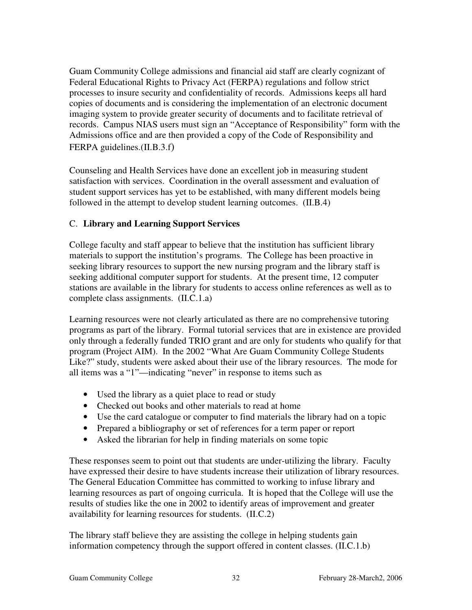Guam Community College admissions and financial aid staff are clearly cognizant of Federal Educational Rights to Privacy Act (FERPA) regulations and follow strict processes to insure security and confidentiality of records. Admissions keeps all hard copies of documents and is considering the implementation of an electronic document imaging system to provide greater security of documents and to facilitate retrieval of records. Campus NIAS users must sign an "Acceptance of Responsibility" form with the Admissions office and are then provided a copy of the Code of Responsibility and FERPA guidelines.(II.B.3.f)

Counseling and Health Services have done an excellent job in measuring student satisfaction with services. Coordination in the overall assessment and evaluation of student support services has yet to be established, with many different models being followed in the attempt to develop student learning outcomes. (II.B.4)

# C. **Library and Learning Support Services**

College faculty and staff appear to believe that the institution has sufficient library materials to support the institution's programs. The College has been proactive in seeking library resources to support the new nursing program and the library staff is seeking additional computer support for students. At the present time, 12 computer stations are available in the library for students to access online references as well as to complete class assignments. (II.C.1.a)

Learning resources were not clearly articulated as there are no comprehensive tutoring programs as part of the library. Formal tutorial services that are in existence are provided only through a federally funded TRIO grant and are only for students who qualify for that program (Project AIM). In the 2002 "What Are Guam Community College Students Like?" study, students were asked about their use of the library resources. The mode for all items was a "1"—indicating "never" in response to items such as

- Used the library as a quiet place to read or study
- Checked out books and other materials to read at home
- Use the card catalogue or computer to find materials the library had on a topic
- Prepared a bibliography or set of references for a term paper or report
- Asked the librarian for help in finding materials on some topic

These responses seem to point out that students are under-utilizing the library. Faculty have expressed their desire to have students increase their utilization of library resources. The General Education Committee has committed to working to infuse library and learning resources as part of ongoing curricula. It is hoped that the College will use the results of studies like the one in 2002 to identify areas of improvement and greater availability for learning resources for students. (II.C.2)

The library staff believe they are assisting the college in helping students gain information competency through the support offered in content classes. (II.C.1.b)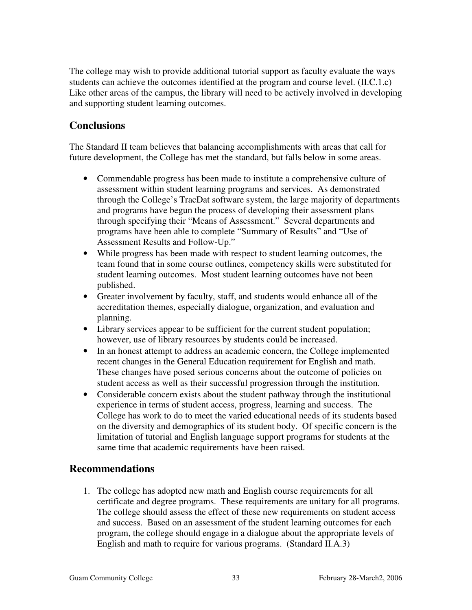The college may wish to provide additional tutorial support as faculty evaluate the ways students can achieve the outcomes identified at the program and course level. (II.C.1.c) Like other areas of the campus, the library will need to be actively involved in developing and supporting student learning outcomes.

# **Conclusions**

The Standard II team believes that balancing accomplishments with areas that call for future development, the College has met the standard, but falls below in some areas.

- Commendable progress has been made to institute a comprehensive culture of assessment within student learning programs and services. As demonstrated through the College's TracDat software system, the large majority of departments and programs have begun the process of developing their assessment plans through specifying their "Means of Assessment." Several departments and programs have been able to complete "Summary of Results" and "Use of Assessment Results and Follow-Up."
- While progress has been made with respect to student learning outcomes, the team found that in some course outlines, competency skills were substituted for student learning outcomes. Most student learning outcomes have not been published.
- Greater involvement by faculty, staff, and students would enhance all of the accreditation themes, especially dialogue, organization, and evaluation and planning.
- Library services appear to be sufficient for the current student population; however, use of library resources by students could be increased.
- In an honest attempt to address an academic concern, the College implemented recent changes in the General Education requirement for English and math. These changes have posed serious concerns about the outcome of policies on student access as well as their successful progression through the institution.
- Considerable concern exists about the student pathway through the institutional experience in terms of student access, progress, learning and success. The College has work to do to meet the varied educational needs of its students based on the diversity and demographics of its student body. Of specific concern is the limitation of tutorial and English language support programs for students at the same time that academic requirements have been raised.

# **Recommendations**

1. The college has adopted new math and English course requirements for all certificate and degree programs. These requirements are unitary for all programs. The college should assess the effect of these new requirements on student access and success. Based on an assessment of the student learning outcomes for each program, the college should engage in a dialogue about the appropriate levels of English and math to require for various programs. (Standard II.A.3)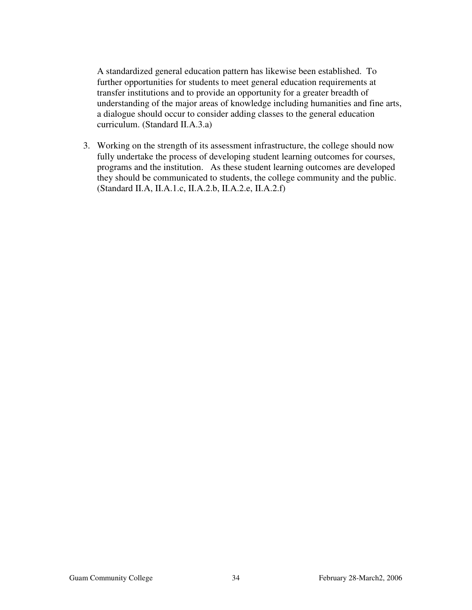A standardized general education pattern has likewise been established. To further opportunities for students to meet general education requirements at transfer institutions and to provide an opportunity for a greater breadth of understanding of the major areas of knowledge including humanities and fine arts, a dialogue should occur to consider adding classes to the general education curriculum. (Standard II.A.3.a)

3. Working on the strength of its assessment infrastructure, the college should now fully undertake the process of developing student learning outcomes for courses, programs and the institution. As these student learning outcomes are developed they should be communicated to students, the college community and the public. (Standard II.A, II.A.1.c, II.A.2.b, II.A.2.e, II.A.2.f)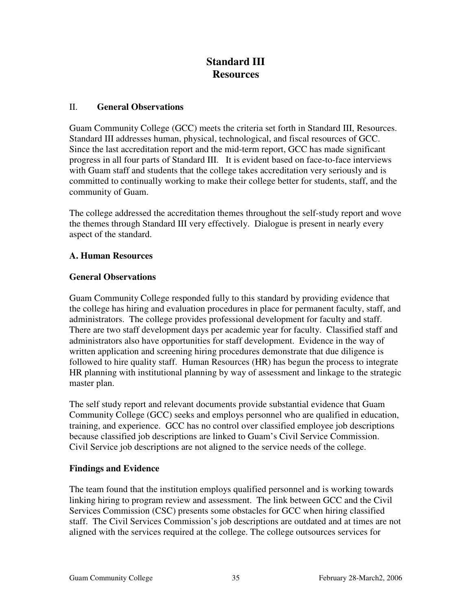# **Standard III Resources**

### II. **General Observations**

Guam Community College (GCC) meets the criteria set forth in Standard III, Resources. Standard III addresses human, physical, technological, and fiscal resources of GCC. Since the last accreditation report and the mid-term report, GCC has made significant progress in all four parts of Standard III. It is evident based on face-to-face interviews with Guam staff and students that the college takes accreditation very seriously and is committed to continually working to make their college better for students, staff, and the community of Guam.

The college addressed the accreditation themes throughout the self-study report and wove the themes through Standard III very effectively. Dialogue is present in nearly every aspect of the standard.

### **A. Human Resources**

### **General Observations**

Guam Community College responded fully to this standard by providing evidence that the college has hiring and evaluation procedures in place for permanent faculty, staff, and administrators. The college provides professional development for faculty and staff. There are two staff development days per academic year for faculty. Classified staff and administrators also have opportunities for staff development. Evidence in the way of written application and screening hiring procedures demonstrate that due diligence is followed to hire quality staff. Human Resources (HR) has begun the process to integrate HR planning with institutional planning by way of assessment and linkage to the strategic master plan.

The self study report and relevant documents provide substantial evidence that Guam Community College (GCC) seeks and employs personnel who are qualified in education, training, and experience. GCC has no control over classified employee job descriptions because classified job descriptions are linked to Guam's Civil Service Commission. Civil Service job descriptions are not aligned to the service needs of the college.

## **Findings and Evidence**

The team found that the institution employs qualified personnel and is working towards linking hiring to program review and assessment. The link between GCC and the Civil Services Commission (CSC) presents some obstacles for GCC when hiring classified staff. The Civil Services Commission's job descriptions are outdated and at times are not aligned with the services required at the college. The college outsources services for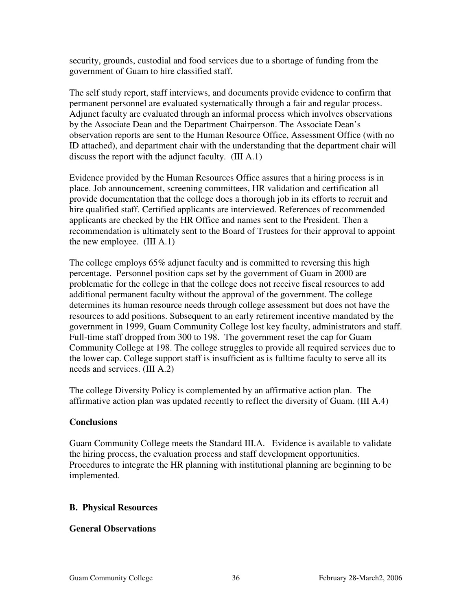security, grounds, custodial and food services due to a shortage of funding from the government of Guam to hire classified staff.

The self study report, staff interviews, and documents provide evidence to confirm that permanent personnel are evaluated systematically through a fair and regular process. Adjunct faculty are evaluated through an informal process which involves observations by the Associate Dean and the Department Chairperson. The Associate Dean's observation reports are sent to the Human Resource Office, Assessment Office (with no ID attached), and department chair with the understanding that the department chair will discuss the report with the adjunct faculty. (III A.1)

Evidence provided by the Human Resources Office assures that a hiring process is in place. Job announcement, screening committees, HR validation and certification all provide documentation that the college does a thorough job in its efforts to recruit and hire qualified staff. Certified applicants are interviewed. References of recommended applicants are checked by the HR Office and names sent to the President. Then a recommendation is ultimately sent to the Board of Trustees for their approval to appoint the new employee. (III A.1)

The college employs 65% adjunct faculty and is committed to reversing this high percentage. Personnel position caps set by the government of Guam in 2000 are problematic for the college in that the college does not receive fiscal resources to add additional permanent faculty without the approval of the government. The college determines its human resource needs through college assessment but does not have the resources to add positions. Subsequent to an early retirement incentive mandated by the government in 1999, Guam Community College lost key faculty, administrators and staff. Full-time staff dropped from 300 to 198. The government reset the cap for Guam Community College at 198. The college struggles to provide all required services due to the lower cap. College support staff is insufficient as is fulltime faculty to serve all its needs and services. (III A.2)

The college Diversity Policy is complemented by an affirmative action plan. The affirmative action plan was updated recently to reflect the diversity of Guam. (III A.4)

## **Conclusions**

Guam Community College meets the Standard III.A. Evidence is available to validate the hiring process, the evaluation process and staff development opportunities. Procedures to integrate the HR planning with institutional planning are beginning to be implemented.

## **B. Physical Resources**

## **General Observations**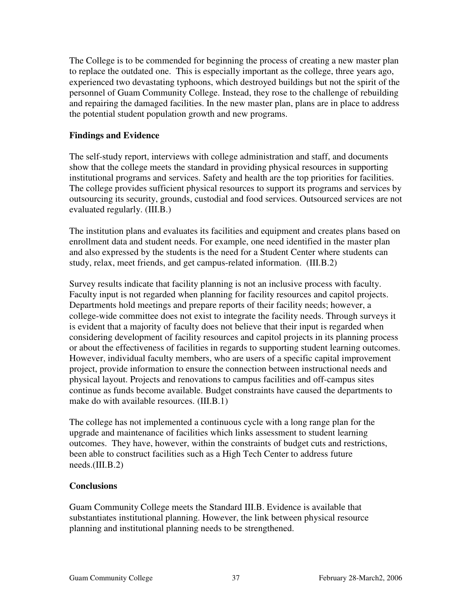The College is to be commended for beginning the process of creating a new master plan to replace the outdated one. This is especially important as the college, three years ago, experienced two devastating typhoons, which destroyed buildings but not the spirit of the personnel of Guam Community College. Instead, they rose to the challenge of rebuilding and repairing the damaged facilities. In the new master plan, plans are in place to address the potential student population growth and new programs.

### **Findings and Evidence**

The self-study report, interviews with college administration and staff, and documents show that the college meets the standard in providing physical resources in supporting institutional programs and services. Safety and health are the top priorities for facilities. The college provides sufficient physical resources to support its programs and services by outsourcing its security, grounds, custodial and food services. Outsourced services are not evaluated regularly. (III.B.)

The institution plans and evaluates its facilities and equipment and creates plans based on enrollment data and student needs. For example, one need identified in the master plan and also expressed by the students is the need for a Student Center where students can study, relax, meet friends, and get campus-related information. (III.B.2)

Survey results indicate that facility planning is not an inclusive process with faculty. Faculty input is not regarded when planning for facility resources and capitol projects. Departments hold meetings and prepare reports of their facility needs; however, a college-wide committee does not exist to integrate the facility needs. Through surveys it is evident that a majority of faculty does not believe that their input is regarded when considering development of facility resources and capitol projects in its planning process or about the effectiveness of facilities in regards to supporting student learning outcomes. However, individual faculty members, who are users of a specific capital improvement project, provide information to ensure the connection between instructional needs and physical layout. Projects and renovations to campus facilities and off-campus sites continue as funds become available. Budget constraints have caused the departments to make do with available resources. (III.B.1)

The college has not implemented a continuous cycle with a long range plan for the upgrade and maintenance of facilities which links assessment to student learning outcomes. They have, however, within the constraints of budget cuts and restrictions, been able to construct facilities such as a High Tech Center to address future needs.(III.B.2)

#### **Conclusions**

Guam Community College meets the Standard III.B. Evidence is available that substantiates institutional planning. However, the link between physical resource planning and institutional planning needs to be strengthened.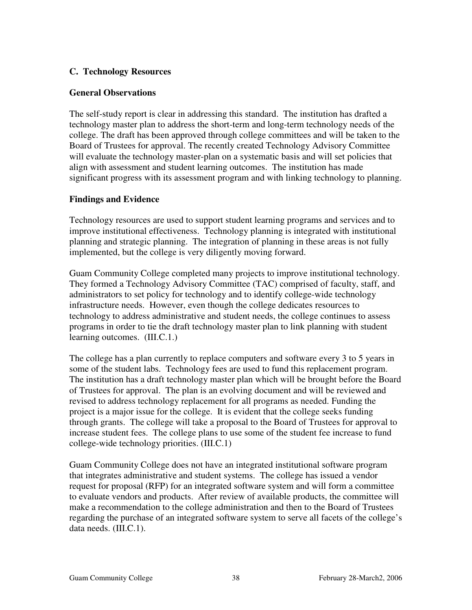### **C. Technology Resources**

#### **General Observations**

The self-study report is clear in addressing this standard. The institution has drafted a technology master plan to address the short-term and long-term technology needs of the college. The draft has been approved through college committees and will be taken to the Board of Trustees for approval. The recently created Technology Advisory Committee will evaluate the technology master-plan on a systematic basis and will set policies that align with assessment and student learning outcomes. The institution has made significant progress with its assessment program and with linking technology to planning.

### **Findings and Evidence**

Technology resources are used to support student learning programs and services and to improve institutional effectiveness. Technology planning is integrated with institutional planning and strategic planning. The integration of planning in these areas is not fully implemented, but the college is very diligently moving forward.

Guam Community College completed many projects to improve institutional technology. They formed a Technology Advisory Committee (TAC) comprised of faculty, staff, and administrators to set policy for technology and to identify college-wide technology infrastructure needs. However, even though the college dedicates resources to technology to address administrative and student needs, the college continues to assess programs in order to tie the draft technology master plan to link planning with student learning outcomes. (III.C.1.)

The college has a plan currently to replace computers and software every 3 to 5 years in some of the student labs. Technology fees are used to fund this replacement program. The institution has a draft technology master plan which will be brought before the Board of Trustees for approval. The plan is an evolving document and will be reviewed and revised to address technology replacement for all programs as needed. Funding the project is a major issue for the college. It is evident that the college seeks funding through grants. The college will take a proposal to the Board of Trustees for approval to increase student fees. The college plans to use some of the student fee increase to fund college-wide technology priorities. (III.C.1)

Guam Community College does not have an integrated institutional software program that integrates administrative and student systems. The college has issued a vendor request for proposal (RFP) for an integrated software system and will form a committee to evaluate vendors and products. After review of available products, the committee will make a recommendation to the college administration and then to the Board of Trustees regarding the purchase of an integrated software system to serve all facets of the college's data needs. (III.C.1).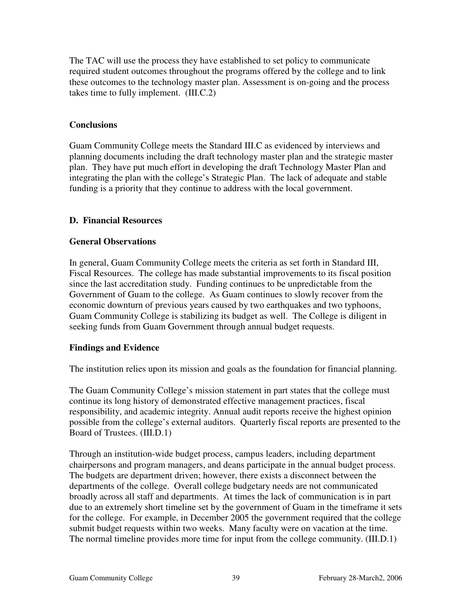The TAC will use the process they have established to set policy to communicate required student outcomes throughout the programs offered by the college and to link these outcomes to the technology master plan. Assessment is on-going and the process takes time to fully implement. (III.C.2)

## **Conclusions**

Guam Community College meets the Standard III.C as evidenced by interviews and planning documents including the draft technology master plan and the strategic master plan. They have put much effort in developing the draft Technology Master Plan and integrating the plan with the college's Strategic Plan. The lack of adequate and stable funding is a priority that they continue to address with the local government.

#### **D. Financial Resources**

#### **General Observations**

In general, Guam Community College meets the criteria as set forth in Standard III, Fiscal Resources. The college has made substantial improvements to its fiscal position since the last accreditation study. Funding continues to be unpredictable from the Government of Guam to the college. As Guam continues to slowly recover from the economic downturn of previous years caused by two earthquakes and two typhoons, Guam Community College is stabilizing its budget as well. The College is diligent in seeking funds from Guam Government through annual budget requests.

#### **Findings and Evidence**

The institution relies upon its mission and goals as the foundation for financial planning.

The Guam Community College's mission statement in part states that the college must continue its long history of demonstrated effective management practices, fiscal responsibility, and academic integrity. Annual audit reports receive the highest opinion possible from the college's external auditors. Quarterly fiscal reports are presented to the Board of Trustees. (III.D.1)

Through an institution-wide budget process, campus leaders, including department chairpersons and program managers, and deans participate in the annual budget process. The budgets are department driven; however, there exists a disconnect between the departments of the college. Overall college budgetary needs are not communicated broadly across all staff and departments. At times the lack of communication is in part due to an extremely short timeline set by the government of Guam in the timeframe it sets for the college. For example, in December 2005 the government required that the college submit budget requests within two weeks. Many faculty were on vacation at the time. The normal timeline provides more time for input from the college community. (III.D.1)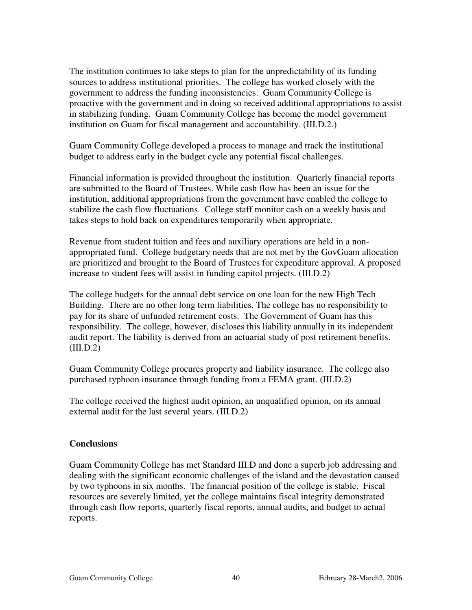The institution continues to take steps to plan for the unpredictability of its funding sources to address institutional priorities. The college has worked closely with the government to address the funding inconsistencies. Guam Community College is proactive with the government and in doing so received additional appropriations to assist in stabilizing funding. Guam Community College has become the model government institution on Guam for fiscal management and accountability. (III.D.2.)

Guam Community College developed a process to manage and track the institutional budget to address early in the budget cycle any potential fiscal challenges.

Financial information is provided throughout the institution. Quarterly financial reports are submitted to the Board of Trustees. While cash flow has been an issue for the institution, additional appropriations from the government have enabled the college to stabilize the cash flow fluctuations. College staff monitor cash on a weekly basis and takes steps to hold back on expenditures temporarily when appropriate.

Revenue from student tuition and fees and auxiliary operations are held in a nonappropriated fund. College budgetary needs that are not met by the GovGuam allocation are prioritized and brought to the Board of Trustees for expenditure approval. A proposed increase to student fees will assist in funding capitol projects. (III.D.2)

The college budgets for the annual debt service on one loan for the new High Tech Building. There are no other long term liabilities. The college has no responsibility to pay for its share of unfunded retirement costs. The Government of Guam has this responsibility. The college, however, discloses this liability annually in its independent audit report. The liability is derived from an actuarial study of post retirement benefits.  $(III.D.2)$ 

Guam Community College procures property and liability insurance. The college also purchased typhoon insurance through funding from a FEMA grant. (III.D.2)

The college received the highest audit opinion, an unqualified opinion, on its annual external audit for the last several years. (III.D.2)

## **Conclusions**

Guam Community College has met Standard III.D and done a superb job addressing and dealing with the significant economic challenges of the island and the devastation caused by two typhoons in six months. The financial position of the college is stable. Fiscal resources are severely limited, yet the college maintains fiscal integrity demonstrated through cash flow reports, quarterly fiscal reports, annual audits, and budget to actual reports.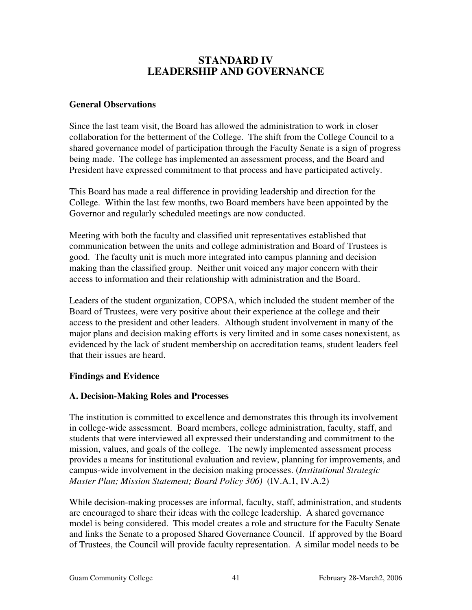# **STANDARD IV LEADERSHIP AND GOVERNANCE**

### **General Observations**

Since the last team visit, the Board has allowed the administration to work in closer collaboration for the betterment of the College. The shift from the College Council to a shared governance model of participation through the Faculty Senate is a sign of progress being made. The college has implemented an assessment process, and the Board and President have expressed commitment to that process and have participated actively.

This Board has made a real difference in providing leadership and direction for the College. Within the last few months, two Board members have been appointed by the Governor and regularly scheduled meetings are now conducted.

Meeting with both the faculty and classified unit representatives established that communication between the units and college administration and Board of Trustees is good. The faculty unit is much more integrated into campus planning and decision making than the classified group. Neither unit voiced any major concern with their access to information and their relationship with administration and the Board.

Leaders of the student organization, COPSA, which included the student member of the Board of Trustees, were very positive about their experience at the college and their access to the president and other leaders. Although student involvement in many of the major plans and decision making efforts is very limited and in some cases nonexistent, as evidenced by the lack of student membership on accreditation teams, student leaders feel that their issues are heard.

## **Findings and Evidence**

## **A. Decision-Making Roles and Processes**

The institution is committed to excellence and demonstrates this through its involvement in college-wide assessment. Board members, college administration, faculty, staff, and students that were interviewed all expressed their understanding and commitment to the mission, values, and goals of the college. The newly implemented assessment process provides a means for institutional evaluation and review, planning for improvements, and campus-wide involvement in the decision making processes. (*Institutional Strategic Master Plan; Mission Statement; Board Policy 306)* (IV.A.1, IV.A.2)

While decision-making processes are informal, faculty, staff, administration, and students are encouraged to share their ideas with the college leadership. A shared governance model is being considered. This model creates a role and structure for the Faculty Senate and links the Senate to a proposed Shared Governance Council. If approved by the Board of Trustees, the Council will provide faculty representation. A similar model needs to be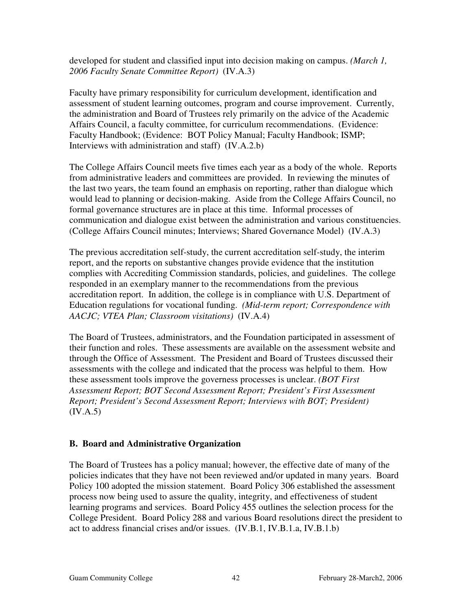developed for student and classified input into decision making on campus. *(March 1, 2006 Faculty Senate Committee Report)* (IV.A.3)

Faculty have primary responsibility for curriculum development, identification and assessment of student learning outcomes, program and course improvement. Currently, the administration and Board of Trustees rely primarily on the advice of the Academic Affairs Council, a faculty committee, for curriculum recommendations. (Evidence: Faculty Handbook; (Evidence: BOT Policy Manual; Faculty Handbook; ISMP; Interviews with administration and staff) (IV.A.2.b)

The College Affairs Council meets five times each year as a body of the whole. Reports from administrative leaders and committees are provided. In reviewing the minutes of the last two years, the team found an emphasis on reporting, rather than dialogue which would lead to planning or decision-making. Aside from the College Affairs Council, no formal governance structures are in place at this time. Informal processes of communication and dialogue exist between the administration and various constituencies. (College Affairs Council minutes; Interviews; Shared Governance Model) (IV.A.3)

The previous accreditation self-study, the current accreditation self-study, the interim report, and the reports on substantive changes provide evidence that the institution complies with Accrediting Commission standards, policies, and guidelines. The college responded in an exemplary manner to the recommendations from the previous accreditation report. In addition, the college is in compliance with U.S. Department of Education regulations for vocational funding. *(Mid-term report; Correspondence with AACJC; VTEA Plan; Classroom visitations)* (IV.A.4)

The Board of Trustees, administrators, and the Foundation participated in assessment of their function and roles. These assessments are available on the assessment website and through the Office of Assessment. The President and Board of Trustees discussed their assessments with the college and indicated that the process was helpful to them. How these assessment tools improve the governess processes is unclear. *(BOT First Assessment Report; BOT Second Assessment Report; President's First Assessment Report; President's Second Assessment Report; Interviews with BOT; President)*  $(IV.A.5)$ 

## **B. Board and Administrative Organization**

The Board of Trustees has a policy manual; however, the effective date of many of the policies indicates that they have not been reviewed and/or updated in many years. Board Policy 100 adopted the mission statement. Board Policy 306 established the assessment process now being used to assure the quality, integrity, and effectiveness of student learning programs and services. Board Policy 455 outlines the selection process for the College President. Board Policy 288 and various Board resolutions direct the president to act to address financial crises and/or issues. (IV.B.1, IV.B.1.a, IV.B.1.b)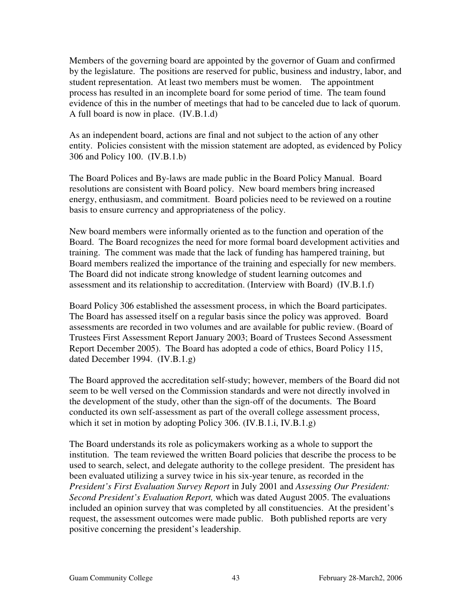Members of the governing board are appointed by the governor of Guam and confirmed by the legislature. The positions are reserved for public, business and industry, labor, and student representation. At least two members must be women. The appointment process has resulted in an incomplete board for some period of time. The team found evidence of this in the number of meetings that had to be canceled due to lack of quorum. A full board is now in place. (IV.B.1.d)

As an independent board, actions are final and not subject to the action of any other entity. Policies consistent with the mission statement are adopted, as evidenced by Policy 306 and Policy 100. (IV.B.1.b)

The Board Polices and By-laws are made public in the Board Policy Manual. Board resolutions are consistent with Board policy. New board members bring increased energy, enthusiasm, and commitment. Board policies need to be reviewed on a routine basis to ensure currency and appropriateness of the policy.

New board members were informally oriented as to the function and operation of the Board. The Board recognizes the need for more formal board development activities and training. The comment was made that the lack of funding has hampered training, but Board members realized the importance of the training and especially for new members. The Board did not indicate strong knowledge of student learning outcomes and assessment and its relationship to accreditation. (Interview with Board) (IV.B.1.f)

Board Policy 306 established the assessment process, in which the Board participates. The Board has assessed itself on a regular basis since the policy was approved. Board assessments are recorded in two volumes and are available for public review. (Board of Trustees First Assessment Report January 2003; Board of Trustees Second Assessment Report December 2005). The Board has adopted a code of ethics, Board Policy 115, dated December 1994. (IV.B.1.g)

The Board approved the accreditation self-study; however, members of the Board did not seem to be well versed on the Commission standards and were not directly involved in the development of the study, other than the sign-off of the documents. The Board conducted its own self-assessment as part of the overall college assessment process, which it set in motion by adopting Policy 306. (IV.B.1.i, IV.B.1.g)

The Board understands its role as policymakers working as a whole to support the institution. The team reviewed the written Board policies that describe the process to be used to search, select, and delegate authority to the college president. The president has been evaluated utilizing a survey twice in his six-year tenure, as recorded in the *President's First Evaluation Survey Report* in July 2001 and *Assessing Our President: Second President's Evaluation Report,* which was dated August 2005. The evaluations included an opinion survey that was completed by all constituencies. At the president's request, the assessment outcomes were made public. Both published reports are very positive concerning the president's leadership.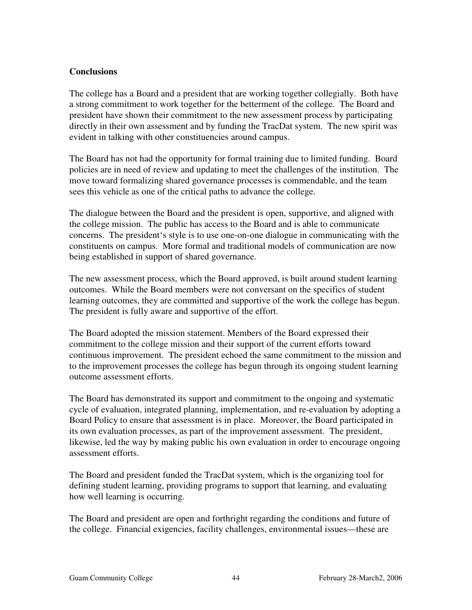## **Conclusions**

The college has a Board and a president that are working together collegially. Both have a strong commitment to work together for the betterment of the college. The Board and president have shown their commitment to the new assessment process by participating directly in their own assessment and by funding the TracDat system. The new spirit was evident in talking with other constituencies around campus.

The Board has not had the opportunity for formal training due to limited funding. Board policies are in need of review and updating to meet the challenges of the institution. The move toward formalizing shared governance processes is commendable, and the team sees this vehicle as one of the critical paths to advance the college.

The dialogue between the Board and the president is open, supportive, and aligned with the college mission. The public has access to the Board and is able to communicate concerns. The president's style is to use one-on-one dialogue in communicating with the constituents on campus. More formal and traditional models of communication are now being established in support of shared governance.

The new assessment process, which the Board approved, is built around student learning outcomes. While the Board members were not conversant on the specifics of student learning outcomes, they are committed and supportive of the work the college has begun. The president is fully aware and supportive of the effort.

The Board adopted the mission statement. Members of the Board expressed their commitment to the college mission and their support of the current efforts toward continuous improvement. The president echoed the same commitment to the mission and to the improvement processes the college has begun through its ongoing student learning outcome assessment efforts.

The Board has demonstrated its support and commitment to the ongoing and systematic cycle of evaluation, integrated planning, implementation, and re-evaluation by adopting a Board Policy to ensure that assessment is in place. Moreover, the Board participated in its own evaluation processes, as part of the improvement assessment. The president, likewise, led the way by making public his own evaluation in order to encourage ongoing assessment efforts.

The Board and president funded the TracDat system, which is the organizing tool for defining student learning, providing programs to support that learning, and evaluating how well learning is occurring.

The Board and president are open and forthright regarding the conditions and future of the college. Financial exigencies, facility challenges, environmental issues—these are